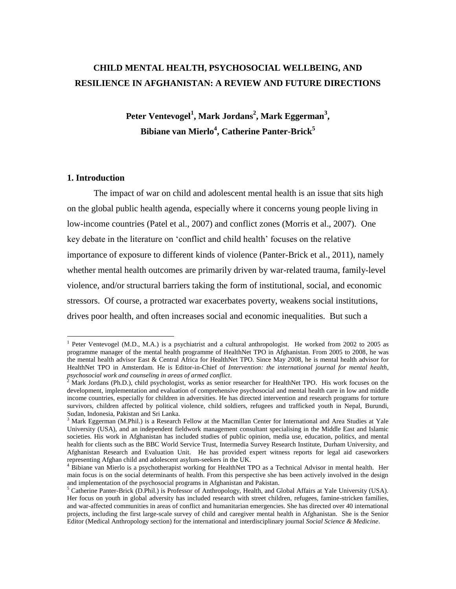# **CHILD MENTAL HEALTH, PSYCHOSOCIAL WELLBEING, AND RESILIENCE IN AFGHANISTAN: A REVIEW AND FUTURE DIRECTIONS**

**Peter Ventevogel<sup>1</sup> , Mark Jordans<sup>2</sup> , Mark Eggerman<sup>3</sup> , Bibiane van Mierlo<sup>4</sup> , Catherine Panter-Brick<sup>5</sup>**

## **1. Introduction**

 $\overline{a}$ 

The impact of war on child and adolescent mental health is an issue that sits high on the global public health agenda, especially where it concerns young people living in low-income countries (Patel et al., 2007) and conflict zones (Morris et al., 2007). One key debate in the literature on 'conflict and child health' focuses on the relative importance of exposure to different kinds of violence (Panter-Brick et al., 2011), namely whether mental health outcomes are primarily driven by war-related trauma, family-level violence, and/or structural barriers taking the form of institutional, social, and economic stressors. Of course, a protracted war exacerbates poverty, weakens social institutions, drives poor health, and often increases social and economic inequalities. But such a

<sup>&</sup>lt;sup>1</sup> Peter Ventevogel (M.D., M.A.) is a psychiatrist and a cultural anthropologist. He worked from 2002 to 2005 as programme manager of the mental health programme of HealthNet TPO in Afghanistan. From 2005 to 2008, he was the mental health advisor East & Central Africa for HealthNet TPO. Since May 2008, he is mental health advisor for HealthNet TPO in Amsterdam. He is Editor-in-Chief of *Intervention: the international journal for mental health, psychosocial work and counseling in areas of armed conflict*.

 $2^2$  Mark Jordans (Ph.D.), child psychologist, works as senior researcher for HealthNet TPO. His work focuses on the development, implementation and evaluation of comprehensive psychosocial and mental health care in low and middle income countries, especially for children in adversities. He has directed intervention and research programs for torture survivors, children affected by political violence, child soldiers, refugees and trafficked youth in Nepal, Burundi, Sudan, Indonesia, Pakistan and Sri Lanka.

<sup>&</sup>lt;sup>3</sup> Mark Eggerman (M.Phil.) is a Research Fellow at the Macmillan Center for International and Area Studies at Yale University (USA), and an independent fieldwork management consultant specialising in the Middle East and Islamic societies. His work in Afghanistan has included studies of public opinion, media use, education, politics, and mental health for clients such as the BBC World Service Trust, Intermedia Survey Research Institute, Durham University, and Afghanistan Research and Evaluation Unit. He has provided expert witness reports for legal aid caseworkers representing Afghan child and adolescent asylum-seekers in the UK.

<sup>&</sup>lt;sup>4</sup> Bibiane van Mierlo is a psychotherapist working for HealthNet TPO as a Technical Advisor in mental health. Her main focus is on the social determinants of health. From this perspective she has been actively involved in the design and implementation of the psychosocial programs in Afghanistan and Pakistan.

<sup>&</sup>lt;sup>5</sup> Catherine Panter-Brick (D.Phil.) is Professor of Anthropology, Health, and Global Affairs at Yale University (USA). Her focus on youth in global adversity has included research with street children, refugees, famine-stricken families, and war-affected communities in areas of conflict and humanitarian emergencies. She has directed over 40 international projects, including the first large-scale survey of child and caregiver mental health in Afghanistan. She is the Senior Editor (Medical Anthropology section) for the international and interdisciplinary journal *Social Science & Medicine*.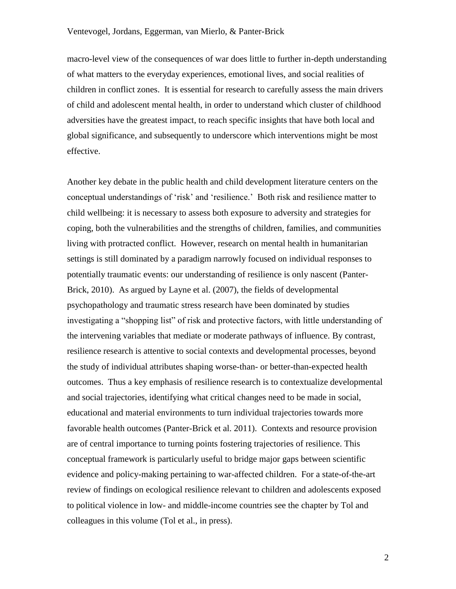#### Ventevogel, Jordans, Eggerman, van Mierlo, & Panter-Brick

macro-level view of the consequences of war does little to further in-depth understanding of what matters to the everyday experiences, emotional lives, and social realities of children in conflict zones. It is essential for research to carefully assess the main drivers of child and adolescent mental health, in order to understand which cluster of childhood adversities have the greatest impact, to reach specific insights that have both local and global significance, and subsequently to underscore which interventions might be most effective.

Another key debate in the public health and child development literature centers on the conceptual understandings of 'risk' and 'resilience.' Both risk and resilience matter to child wellbeing: it is necessary to assess both exposure to adversity and strategies for coping, both the vulnerabilities and the strengths of children, families, and communities living with protracted conflict. However, research on mental health in humanitarian settings is still dominated by a paradigm narrowly focused on individual responses to potentially traumatic events: our understanding of resilience is only nascent (Panter-Brick, 2010). As argued by Layne et al. (2007), the fields of developmental psychopathology and traumatic stress research have been dominated by studies investigating a "shopping list" of risk and protective factors, with little understanding of the intervening variables that mediate or moderate pathways of influence. By contrast, resilience research is attentive to social contexts and developmental processes, beyond the study of individual attributes shaping worse-than- or better-than-expected health outcomes. Thus a key emphasis of resilience research is to contextualize developmental and social trajectories, identifying what critical changes need to be made in social, educational and material environments to turn individual trajectories towards more favorable health outcomes (Panter-Brick et al. 2011). Contexts and resource provision are of central importance to turning points fostering trajectories of resilience. This conceptual framework is particularly useful to bridge major gaps between scientific evidence and policy-making pertaining to war-affected children. For a state-of-the-art review of findings on ecological resilience relevant to children and adolescents exposed to political violence in low- and middle-income countries see the chapter by Tol and colleagues in this volume (Tol et al., in press).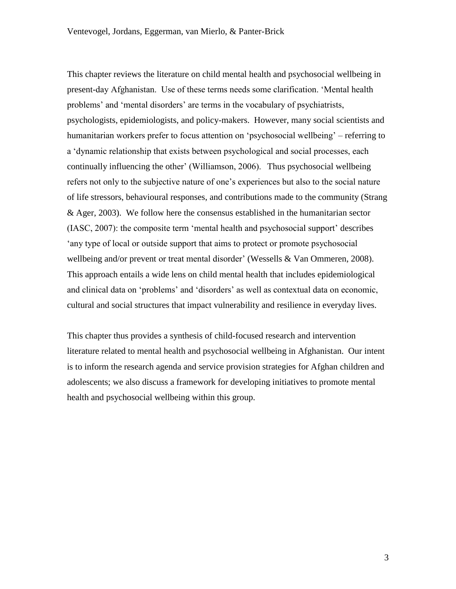This chapter reviews the literature on child mental health and psychosocial wellbeing in present-day Afghanistan. Use of these terms needs some clarification. 'Mental health problems' and 'mental disorders' are terms in the vocabulary of psychiatrists, psychologists, epidemiologists, and policy-makers. However, many social scientists and humanitarian workers prefer to focus attention on 'psychosocial wellbeing' – referring to a 'dynamic relationship that exists between psychological and social processes, each continually influencing the other' (Williamson, 2006). Thus psychosocial wellbeing refers not only to the subjective nature of one's experiences but also to the social nature of life stressors, behavioural responses, and contributions made to the community (Strang & Ager, 2003). We follow here the consensus established in the humanitarian sector (IASC, 2007): the composite term 'mental health and psychosocial support' describes 'any type of local or outside support that aims to protect or promote psychosocial wellbeing and/or prevent or treat mental disorder' (Wessells & Van Ommeren, 2008). This approach entails a wide lens on child mental health that includes epidemiological and clinical data on 'problems' and 'disorders' as well as contextual data on economic, cultural and social structures that impact vulnerability and resilience in everyday lives.

This chapter thus provides a synthesis of child-focused research and intervention literature related to mental health and psychosocial wellbeing in Afghanistan. Our intent is to inform the research agenda and service provision strategies for Afghan children and adolescents; we also discuss a framework for developing initiatives to promote mental health and psychosocial wellbeing within this group.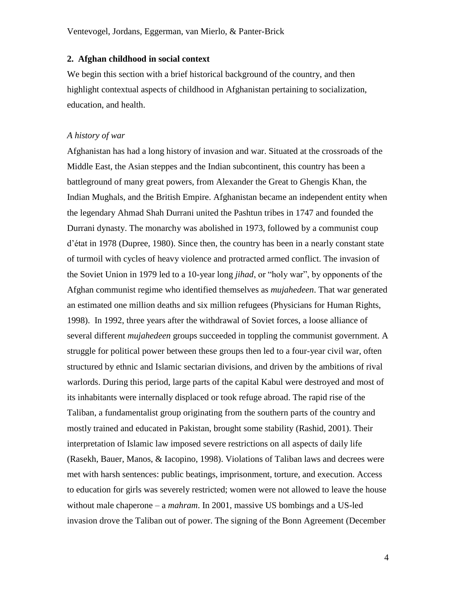## **2. Afghan childhood in social context**

We begin this section with a brief historical background of the country, and then highlight contextual aspects of childhood in Afghanistan pertaining to socialization, education, and health.

## *A history of war*

Afghanistan has had a long history of invasion and war. Situated at the crossroads of the Middle East, the Asian steppes and the Indian subcontinent, this country has been a battleground of many great powers, from Alexander the Great to Ghengis Khan, the Indian Mughals, and the British Empire. Afghanistan became an independent entity when the legendary Ahmad Shah Durrani united the Pashtun tribes in 1747 and founded the Durrani dynasty. The monarchy was abolished in 1973, followed by a communist coup d'état in 1978 (Dupree, 1980). Since then, the country has been in a nearly constant state of turmoil with cycles of heavy violence and protracted armed conflict. The invasion of the Soviet Union in 1979 led to a 10-year long *jihad*, or "holy war", by opponents of the Afghan communist regime who identified themselves as *mujahedeen*. That war generated an estimated one million deaths and six million refugees (Physicians for Human Rights, 1998). In 1992, three years after the withdrawal of Soviet forces, a loose alliance of several different *mujahedeen* groups succeeded in toppling the communist government. A struggle for political power between these groups then led to a four-year civil war, often structured by ethnic and Islamic sectarian divisions, and driven by the ambitions of rival warlords. During this period, large parts of the capital Kabul were destroyed and most of its inhabitants were internally displaced or took refuge abroad. The rapid rise of the Taliban, a fundamentalist group originating from the southern parts of the country and mostly trained and educated in Pakistan, brought some stability (Rashid, 2001). Their interpretation of Islamic law imposed severe restrictions on all aspects of daily life (Rasekh, Bauer, Manos, & Iacopino, 1998). Violations of Taliban laws and decrees were met with harsh sentences: public beatings, imprisonment, torture, and execution. Access to education for girls was severely restricted; women were not allowed to leave the house without male chaperone – a *mahram*. In 2001, massive US bombings and a US-led invasion drove the Taliban out of power. The signing of the Bonn Agreement (December

4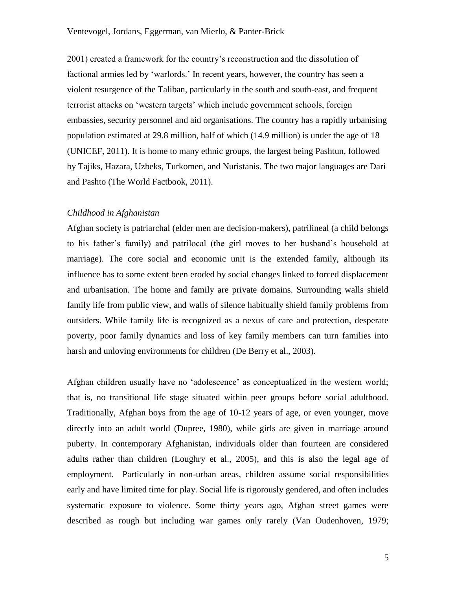2001) created a framework for the country's reconstruction and the dissolution of factional armies led by 'warlords.' In recent years, however, the country has seen a violent resurgence of the Taliban, particularly in the south and south-east, and frequent terrorist attacks on 'western targets' which include government schools, foreign embassies, security personnel and aid organisations. The country has a rapidly urbanising population estimated at 29.8 million, half of which (14.9 million) is under the age of 18 (UNICEF, 2011). It is home to many ethnic groups, the largest being Pashtun, followed by Tajiks, Hazara, Uzbeks, Turkomen, and Nuristanis. The two major languages are Dari and Pashto (The World Factbook, 2011).

## *Childhood in Afghanistan*

Afghan society is patriarchal (elder men are decision-makers), patrilineal (a child belongs to his father's family) and patrilocal (the girl moves to her husband's household at marriage). The core social and economic unit is the extended family, although its influence has to some extent been eroded by social changes linked to forced displacement and urbanisation. The home and family are private domains. Surrounding walls shield family life from public view, and walls of silence habitually shield family problems from outsiders. While family life is recognized as a nexus of care and protection, desperate poverty, poor family dynamics and loss of key family members can turn families into harsh and unloving environments for children (De Berry et al., 2003).

Afghan children usually have no 'adolescence' as conceptualized in the western world; that is, no transitional life stage situated within peer groups before social adulthood. Traditionally, Afghan boys from the age of 10-12 years of age, or even younger, move directly into an adult world (Dupree, 1980), while girls are given in marriage around puberty. In contemporary Afghanistan, individuals older than fourteen are considered adults rather than children (Loughry et al., 2005), and this is also the legal age of employment. Particularly in non-urban areas, children assume social responsibilities early and have limited time for play. Social life is rigorously gendered, and often includes systematic exposure to violence. Some thirty years ago, Afghan street games were described as rough but including war games only rarely (Van Oudenhoven, 1979;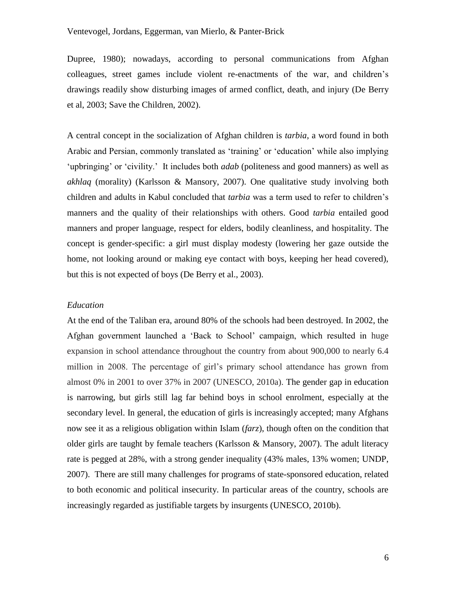#### Ventevogel, Jordans, Eggerman, van Mierlo, & Panter-Brick

Dupree, 1980); nowadays, according to personal communications from Afghan colleagues, street games include violent re-enactments of the war, and children's drawings readily show disturbing images of armed conflict, death, and injury (De Berry et al, 2003; Save the Children, 2002).

A central concept in the socialization of Afghan children is *tarbia*, a word found in both Arabic and Persian, commonly translated as 'training' or 'education' while also implying 'upbringing' or 'civility.' It includes both *adab* (politeness and good manners) as well as *akhlaq* (morality) (Karlsson & Mansory, 2007). One qualitative study involving both children and adults in Kabul concluded that *tarbia* was a term used to refer to children's manners and the quality of their relationships with others. Good *tarbia* entailed good manners and proper language, respect for elders, bodily cleanliness, and hospitality. The concept is gender-specific: a girl must display modesty (lowering her gaze outside the home, not looking around or making eye contact with boys, keeping her head covered), but this is not expected of boys (De Berry et al., 2003).

#### *Education*

At the end of the Taliban era, around 80% of the schools had been destroyed. In 2002, the Afghan government launched a 'Back to School' campaign, which resulted in huge expansion in school attendance throughout the country from about 900,000 to nearly 6.4 million in 2008. The percentage of girl's primary school attendance has grown from almost 0% in 2001 to over 37% in 2007 (UNESCO, 2010a). The gender gap in education is narrowing, but girls still lag far behind boys in school enrolment, especially at the secondary level. In general, the education of girls is increasingly accepted; many Afghans now see it as a religious obligation within Islam (*farz*), though often on the condition that older girls are taught by female teachers (Karlsson & Mansory, 2007). The adult literacy rate is pegged at 28%, with a strong gender inequality (43% males, 13% women; UNDP, 2007). There are still many challenges for programs of state-sponsored education, related to both economic and political insecurity. In particular areas of the country, schools are increasingly regarded as justifiable targets by insurgents (UNESCO, 2010b).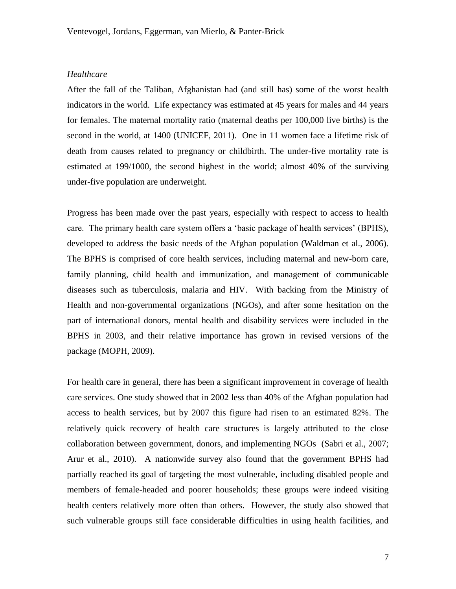## *Healthcare*

After the fall of the Taliban, Afghanistan had (and still has) some of the worst health indicators in the world. Life expectancy was estimated at 45 years for males and 44 years for females. The maternal mortality ratio (maternal deaths per 100,000 live births) is the second in the world, at 1400 (UNICEF, 2011). One in 11 women face a lifetime risk of death from causes related to pregnancy or childbirth. The under-five mortality rate is estimated at 199/1000, the second highest in the world; almost 40% of the surviving under-five population are underweight.

Progress has been made over the past years, especially with respect to access to health care. The primary health care system offers a 'basic package of health services' (BPHS), developed to address the basic needs of the Afghan population (Waldman et al., 2006). The BPHS is comprised of core health services, including maternal and new-born care, family planning, child health and immunization, and management of communicable diseases such as tuberculosis, malaria and HIV. With backing from the Ministry of Health and non-governmental organizations (NGOs), and after some hesitation on the part of international donors, mental health and disability services were included in the BPHS in 2003, and their relative importance has grown in revised versions of the package (MOPH, 2009).

For health care in general, there has been a significant improvement in coverage of health care services. One study showed that in 2002 less than 40% of the Afghan population had access to health services, but by 2007 this figure had risen to an estimated 82%. The relatively quick recovery of health care structures is largely attributed to the close collaboration between government, donors, and implementing NGOs (Sabri et al., 2007; Arur et al., 2010). A nationwide survey also found that the government BPHS had partially reached its goal of targeting the most vulnerable, including disabled people and members of female-headed and poorer households; these groups were indeed visiting health centers relatively more often than others. However, the study also showed that such vulnerable groups still face considerable difficulties in using health facilities, and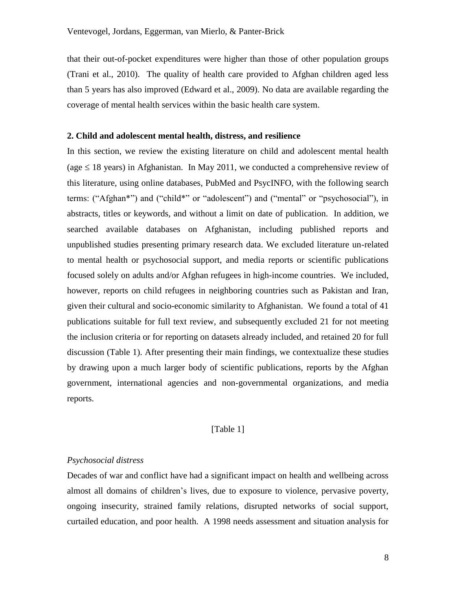that their out-of-pocket expenditures were higher than those of other population groups (Trani et al., 2010). The quality of health care provided to Afghan children aged less than 5 years has also improved (Edward et al., 2009). No data are available regarding the coverage of mental health services within the basic health care system.

### **2. Child and adolescent mental health, distress, and resilience**

In this section, we review the existing literature on child and adolescent mental health (age  $\leq$  18 years) in Afghanistan. In May 2011, we conducted a comprehensive review of this literature, using online databases, PubMed and PsycINFO, with the following search terms: ("Afghan\*") and ("child\*" or "adolescent") and ("mental" or "psychosocial"), in abstracts, titles or keywords, and without a limit on date of publication. In addition, we searched available databases on Afghanistan, including published reports and unpublished studies presenting primary research data. We excluded literature un-related to mental health or psychosocial support, and media reports or scientific publications focused solely on adults and/or Afghan refugees in high-income countries. We included, however, reports on child refugees in neighboring countries such as Pakistan and Iran, given their cultural and socio-economic similarity to Afghanistan. We found a total of 41 publications suitable for full text review, and subsequently excluded 21 for not meeting the inclusion criteria or for reporting on datasets already included, and retained 20 for full discussion (Table 1). After presenting their main findings, we contextualize these studies by drawing upon a much larger body of scientific publications, reports by the Afghan government, international agencies and non-governmental organizations, and media reports.

## [Table 1]

## *Psychosocial distress*

Decades of war and conflict have had a significant impact on health and wellbeing across almost all domains of children's lives, due to exposure to violence, pervasive poverty, ongoing insecurity, strained family relations, disrupted networks of social support, curtailed education, and poor health. A 1998 needs assessment and situation analysis for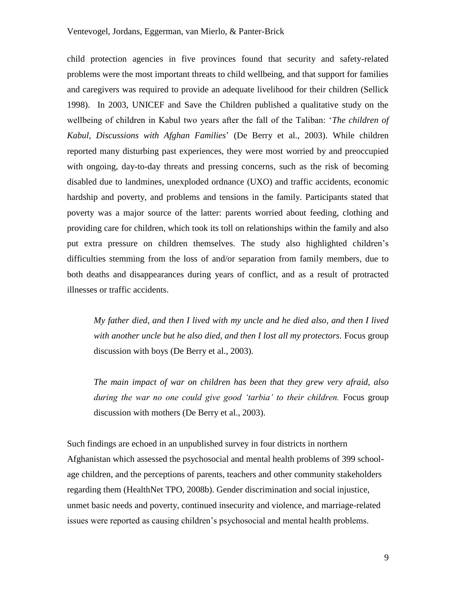#### Ventevogel, Jordans, Eggerman, van Mierlo, & Panter-Brick

child protection agencies in five provinces found that security and safety-related problems were the most important threats to child wellbeing, and that support for families and caregivers was required to provide an adequate livelihood for their children (Sellick 1998). In 2003, UNICEF and Save the Children published a qualitative study on the wellbeing of children in Kabul two years after the fall of the Taliban: '*The children of Kabul, Discussions with Afghan Families*' (De Berry et al., 2003). While children reported many disturbing past experiences, they were most worried by and preoccupied with ongoing, day-to-day threats and pressing concerns, such as the risk of becoming disabled due to landmines, unexploded ordnance (UXO) and traffic accidents, economic hardship and poverty, and problems and tensions in the family. Participants stated that poverty was a major source of the latter: parents worried about feeding, clothing and providing care for children, which took its toll on relationships within the family and also put extra pressure on children themselves. The study also highlighted children's difficulties stemming from the loss of and/or separation from family members, due to both deaths and disappearances during years of conflict, and as a result of protracted illnesses or traffic accidents.

*My father died, and then I lived with my uncle and he died also, and then I lived with another uncle but he also died, and then I lost all my protectors.* Focus group discussion with boys (De Berry et al., 2003).

*The main impact of war on children has been that they grew very afraid, also*  during the war no one could give good 'tarbia' to their children. Focus group discussion with mothers (De Berry et al., 2003).

Such findings are echoed in an unpublished survey in four districts in northern Afghanistan which assessed the psychosocial and mental health problems of 399 schoolage children, and the perceptions of parents, teachers and other community stakeholders regarding them (HealthNet TPO, 2008b). Gender discrimination and social injustice, unmet basic needs and poverty, continued insecurity and violence, and marriage-related issues were reported as causing children's psychosocial and mental health problems.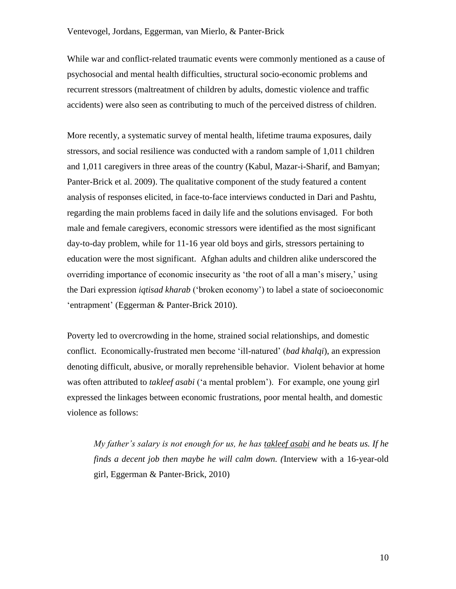While war and conflict-related traumatic events were commonly mentioned as a cause of psychosocial and mental health difficulties, structural socio-economic problems and recurrent stressors (maltreatment of children by adults, domestic violence and traffic accidents) were also seen as contributing to much of the perceived distress of children.

More recently, a systematic survey of mental health, lifetime trauma exposures, daily stressors, and social resilience was conducted with a random sample of 1,011 children and 1,011 caregivers in three areas of the country (Kabul, Mazar-i-Sharif, and Bamyan; Panter-Brick et al. 2009). The qualitative component of the study featured a content analysis of responses elicited, in face-to-face interviews conducted in Dari and Pashtu, regarding the main problems faced in daily life and the solutions envisaged. For both male and female caregivers, economic stressors were identified as the most significant day-to-day problem, while for 11-16 year old boys and girls, stressors pertaining to education were the most significant. Afghan adults and children alike underscored the overriding importance of economic insecurity as 'the root of all a man's misery,' using the Dari expression *iqtisad kharab* ('broken economy') to label a state of socioeconomic 'entrapment' (Eggerman & Panter-Brick 2010).

Poverty led to overcrowding in the home, strained social relationships, and domestic conflict. Economically-frustrated men become 'ill-natured' (*bad khalqi*), an expression denoting difficult, abusive, or morally reprehensible behavior. Violent behavior at home was often attributed to *takleef asabi* ('a mental problem'). For example, one young girl expressed the linkages between economic frustrations, poor mental health, and domestic violence as follows:

*My father's salary is not enough for us, he has takleef asabi and he beats us. If he finds a decent job then maybe he will calm down. (*Interview with a 16-year-old girl, Eggerman & Panter-Brick, 2010)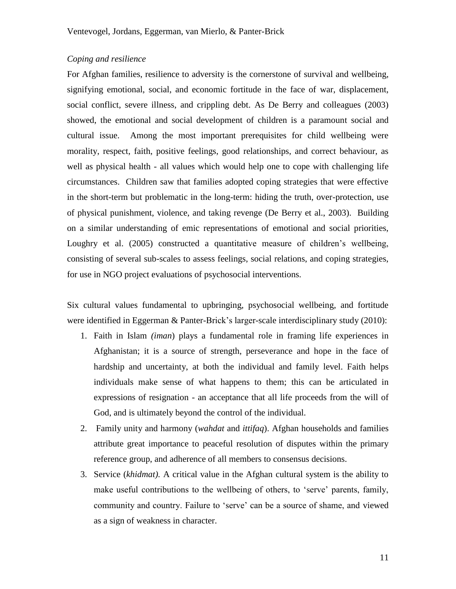# *Coping and resilience*

For Afghan families, resilience to adversity is the cornerstone of survival and wellbeing, signifying emotional, social, and economic fortitude in the face of war, displacement, social conflict, severe illness, and crippling debt. As De Berry and colleagues (2003) showed, the emotional and social development of children is a paramount social and cultural issue. Among the most important prerequisites for child wellbeing were morality, respect, faith, positive feelings, good relationships, and correct behaviour, as well as physical health - all values which would help one to cope with challenging life circumstances. Children saw that families adopted coping strategies that were effective in the short-term but problematic in the long-term: hiding the truth, over-protection, use of physical punishment, violence, and taking revenge (De Berry et al., 2003). Building on a similar understanding of emic representations of emotional and social priorities, Loughry et al. (2005) constructed a quantitative measure of children's wellbeing, consisting of several sub-scales to assess feelings, social relations, and coping strategies, for use in NGO project evaluations of psychosocial interventions.

Six cultural values fundamental to upbringing, psychosocial wellbeing, and fortitude were identified in Eggerman & Panter-Brick's larger-scale interdisciplinary study (2010):

- 1. Faith in Islam *(iman*) plays a fundamental role in framing life experiences in Afghanistan; it is a source of strength, perseverance and hope in the face of hardship and uncertainty, at both the individual and family level. Faith helps individuals make sense of what happens to them; this can be articulated in expressions of resignation - an acceptance that all life proceeds from the will of God, and is ultimately beyond the control of the individual.
- 2. Family unity and harmony (*wahdat* and *ittifaq*). Afghan households and families attribute great importance to peaceful resolution of disputes within the primary reference group, and adherence of all members to consensus decisions.
- 3. Service (*khidmat).* A critical value in the Afghan cultural system is the ability to make useful contributions to the wellbeing of others, to 'serve' parents, family, community and country. Failure to 'serve' can be a source of shame, and viewed as a sign of weakness in character.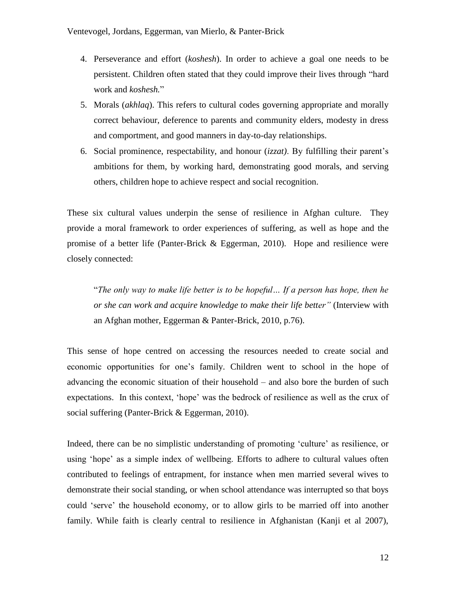- 4. Perseverance and effort (*koshesh*). In order to achieve a goal one needs to be persistent. Children often stated that they could improve their lives through "hard work and *koshesh.*"
- 5. Morals (*akhlaq*). This refers to cultural codes governing appropriate and morally correct behaviour, deference to parents and community elders, modesty in dress and comportment, and good manners in day-to-day relationships.
- 6. Social prominence, respectability, and honour (*izzat)*. By fulfilling their parent's ambitions for them, by working hard, demonstrating good morals, and serving others, children hope to achieve respect and social recognition.

These six cultural values underpin the sense of resilience in Afghan culture. They provide a moral framework to order experiences of suffering, as well as hope and the promise of a better life (Panter-Brick & Eggerman, 2010). Hope and resilience were closely connected:

"*The only way to make life better is to be hopeful… If a person has hope, then he or she can work and acquire knowledge to make their life better"* (Interview with an Afghan mother, Eggerman & Panter-Brick, 2010, p.76).

This sense of hope centred on accessing the resources needed to create social and economic opportunities for one's family. Children went to school in the hope of advancing the economic situation of their household – and also bore the burden of such expectations. In this context, 'hope' was the bedrock of resilience as well as the crux of social suffering (Panter-Brick & Eggerman, 2010).

Indeed, there can be no simplistic understanding of promoting 'culture' as resilience, or using 'hope' as a simple index of wellbeing. Efforts to adhere to cultural values often contributed to feelings of entrapment, for instance when men married several wives to demonstrate their social standing, or when school attendance was interrupted so that boys could 'serve' the household economy, or to allow girls to be married off into another family. While faith is clearly central to resilience in Afghanistan (Kanji et al 2007),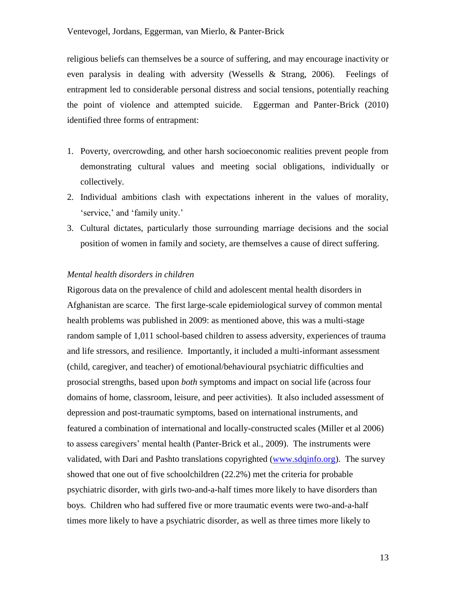religious beliefs can themselves be a source of suffering, and may encourage inactivity or even paralysis in dealing with adversity (Wessells & Strang, 2006). Feelings of entrapment led to considerable personal distress and social tensions, potentially reaching the point of violence and attempted suicide. Eggerman and Panter-Brick (2010) identified three forms of entrapment:

- 1. Poverty, overcrowding, and other harsh socioeconomic realities prevent people from demonstrating cultural values and meeting social obligations, individually or collectively.
- 2. Individual ambitions clash with expectations inherent in the values of morality, 'service,' and 'family unity.'
- 3. Cultural dictates, particularly those surrounding marriage decisions and the social position of women in family and society, are themselves a cause of direct suffering.

## *Mental health disorders in children*

Rigorous data on the prevalence of child and adolescent mental health disorders in Afghanistan are scarce. The first large-scale epidemiological survey of common mental health problems was published in 2009: as mentioned above, this was a multi-stage random sample of 1,011 school-based children to assess adversity, experiences of trauma and life stressors, and resilience. Importantly, it included a multi-informant assessment (child, caregiver, and teacher) of emotional/behavioural psychiatric difficulties and prosocial strengths, based upon *both* symptoms and impact on social life (across four domains of home, classroom, leisure, and peer activities). It also included assessment of depression and post-traumatic symptoms, based on international instruments, and featured a combination of international and locally-constructed scales (Miller et al 2006) to assess caregivers' mental health (Panter-Brick et al., 2009). The instruments were validated, with Dari and Pashto translations copyrighted [\(www.sdqinfo.org\)](http://www.sdqinfo.org/). The survey showed that one out of five schoolchildren (22.2%) met the criteria for probable psychiatric disorder, with girls two-and-a-half times more likely to have disorders than boys. Children who had suffered five or more traumatic events were two-and-a-half times more likely to have a psychiatric disorder, as well as three times more likely to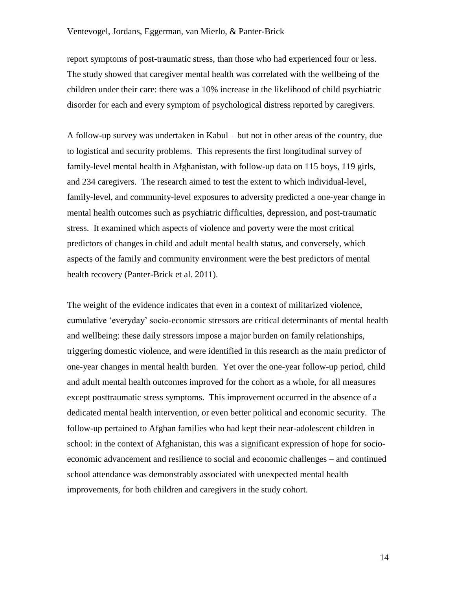report symptoms of post-traumatic stress, than those who had experienced four or less. The study showed that caregiver mental health was correlated with the wellbeing of the children under their care: there was a 10% increase in the likelihood of child psychiatric disorder for each and every symptom of psychological distress reported by caregivers.

A follow-up survey was undertaken in Kabul – but not in other areas of the country, due to logistical and security problems. This represents the first longitudinal survey of family-level mental health in Afghanistan, with follow-up data on 115 boys, 119 girls, and 234 caregivers. The research aimed to test the extent to which individual-level, family-level, and community-level exposures to adversity predicted a one-year change in mental health outcomes such as psychiatric difficulties, depression, and post-traumatic stress. It examined which aspects of violence and poverty were the most critical predictors of changes in child and adult mental health status, and conversely, which aspects of the family and community environment were the best predictors of mental health recovery (Panter-Brick et al. 2011).

The weight of the evidence indicates that even in a context of militarized violence, cumulative 'everyday' socio-economic stressors are critical determinants of mental health and wellbeing: these daily stressors impose a major burden on family relationships, triggering domestic violence, and were identified in this research as the main predictor of one-year changes in mental health burden. Yet over the one-year follow-up period, child and adult mental health outcomes improved for the cohort as a whole, for all measures except posttraumatic stress symptoms. This improvement occurred in the absence of a dedicated mental health intervention, or even better political and economic security. The follow-up pertained to Afghan families who had kept their near-adolescent children in school: in the context of Afghanistan, this was a significant expression of hope for socioeconomic advancement and resilience to social and economic challenges – and continued school attendance was demonstrably associated with unexpected mental health improvements, for both children and caregivers in the study cohort.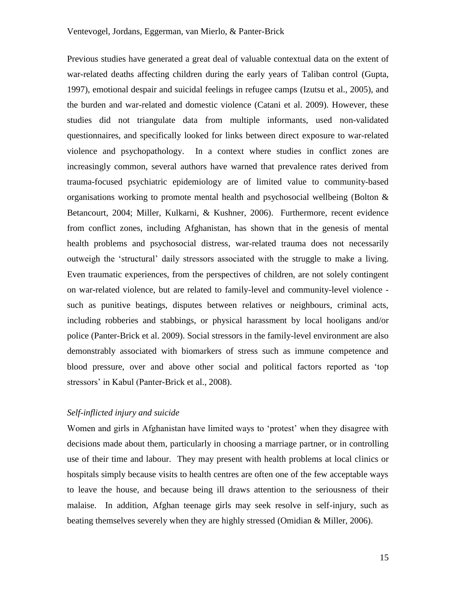Previous studies have generated a great deal of valuable contextual data on the extent of war-related deaths affecting children during the early years of Taliban control (Gupta, 1997), emotional despair and suicidal feelings in refugee camps (Izutsu et al., 2005), and the burden and war-related and domestic violence (Catani et al. 2009). However, these studies did not triangulate data from multiple informants, used non-validated questionnaires, and specifically looked for links between direct exposure to war-related violence and psychopathology. In a context where studies in conflict zones are increasingly common, several authors have warned that prevalence rates derived from trauma-focused psychiatric epidemiology are of limited value to community-based organisations working to promote mental health and psychosocial wellbeing (Bolton & Betancourt, 2004; Miller, Kulkarni, & Kushner, 2006). Furthermore, recent evidence from conflict zones, including Afghanistan, has shown that in the genesis of mental health problems and psychosocial distress, war-related trauma does not necessarily outweigh the 'structural' daily stressors associated with the struggle to make a living. Even traumatic experiences, from the perspectives of children, are not solely contingent on war-related violence, but are related to family-level and community-level violence such as punitive beatings, disputes between relatives or neighbours, criminal acts, including robberies and stabbings, or physical harassment by local hooligans and/or police (Panter-Brick et al. 2009). Social stressors in the family-level environment are also demonstrably associated with biomarkers of stress such as immune competence and blood pressure, over and above other social and political factors reported as 'top stressors' in Kabul (Panter-Brick et al., 2008).

## *Self-inflicted injury and suicide*

Women and girls in Afghanistan have limited ways to 'protest' when they disagree with decisions made about them, particularly in choosing a marriage partner, or in controlling use of their time and labour. They may present with health problems at local clinics or hospitals simply because visits to health centres are often one of the few acceptable ways to leave the house, and because being ill draws attention to the seriousness of their malaise. In addition, Afghan teenage girls may seek resolve in self-injury, such as beating themselves severely when they are highly stressed (Omidian & Miller, 2006).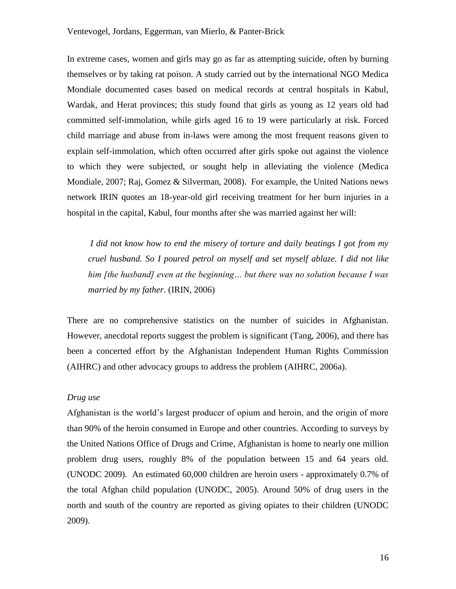In extreme cases, women and girls may go as far as attempting suicide, often by burning themselves or by taking rat poison. A study carried out by the international NGO Medica Mondiale documented cases based on medical records at central hospitals in Kabul, Wardak, and Herat provinces; this study found that girls as young as 12 years old had committed self-immolation, while girls aged 16 to 19 were particularly at risk. Forced child marriage and abuse from in-laws were among the most frequent reasons given to explain self-immolation, which often occurred after girls spoke out against the violence to which they were subjected, or sought help in alleviating the violence (Medica Mondiale, 2007; Raj, Gomez & Silverman, 2008). For example, the United Nations news network IRIN quotes an 18-year-old girl receiving treatment for her burn injuries in a hospital in the capital, Kabul, four months after she was married against her will:

*I did not know how to end the misery of torture and daily beatings I got from my cruel husband. So I poured petrol on myself and set myself ablaze. I did not like him [the husband] even at the beginning… but there was no solution because I was married by my father*. (IRIN, 2006)

There are no comprehensive statistics on the number of suicides in Afghanistan. However, anecdotal reports suggest the problem is significant (Tang, 2006), and there has been a concerted effort by the Afghanistan Independent Human Rights Commission (AIHRC) and other advocacy groups to address the problem (AIHRC, 2006a).

## *Drug use*

Afghanistan is the world's largest producer of opium and heroin, and the origin of more than 90% of the heroin consumed in Europe and other countries. According to surveys by the United Nations Office of Drugs and Crime, Afghanistan is home to nearly one million problem drug users, roughly 8% of the population between 15 and 64 years old. (UNODC 2009). An estimated 60,000 children are heroin users - approximately 0.7% of the total Afghan child population (UNODC, 2005). Around 50% of drug users in the north and south of the country are reported as giving opiates to their children (UNODC 2009).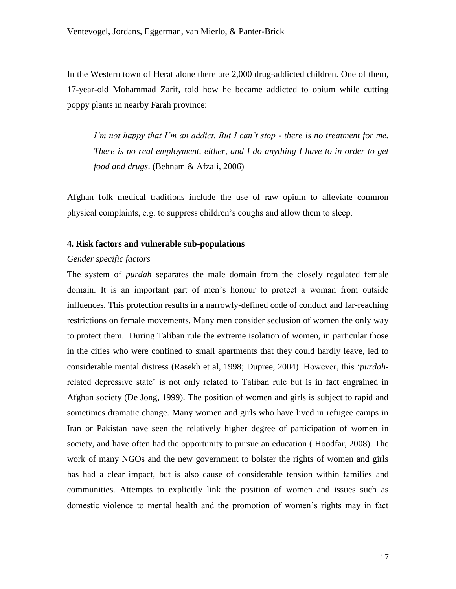In the Western town of Herat alone there are 2,000 drug-addicted children. One of them, 17-year-old Mohammad Zarif, told how he became addicted to opium while cutting poppy plants in nearby Farah province:

*I'm not happy that I'm an addict. But I can't stop - there is no treatment for me. There is no real employment, either, and I do anything I have to in order to get food and drugs*. (Behnam & Afzali, 2006)

Afghan folk medical traditions include the use of raw opium to alleviate common physical complaints, e.g. to suppress children's coughs and allow them to sleep.

#### **4. Risk factors and vulnerable sub-populations**

#### *Gender specific factors*

The system of *purdah* separates the male domain from the closely regulated female domain. It is an important part of men's honour to protect a woman from outside influences. This protection results in a narrowly-defined code of conduct and far-reaching restrictions on female movements. Many men consider seclusion of women the only way to protect them. During Taliban rule the extreme isolation of women, in particular those in the cities who were confined to small apartments that they could hardly leave, led to considerable mental distress (Rasekh et al, 1998; Dupree, 2004). However, this '*purdah*related depressive state' is not only related to Taliban rule but is in fact engrained in Afghan society (De Jong, 1999). The position of women and girls is subject to rapid and sometimes dramatic change. Many women and girls who have lived in refugee camps in Iran or Pakistan have seen the relatively higher degree of participation of women in society, and have often had the opportunity to pursue an education ( Hoodfar, 2008). The work of many NGOs and the new government to bolster the rights of women and girls has had a clear impact, but is also cause of considerable tension within families and communities. Attempts to explicitly link the position of women and issues such as domestic violence to mental health and the promotion of women's rights may in fact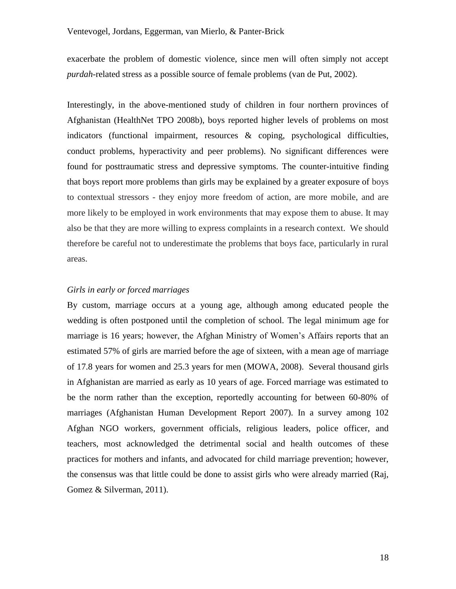exacerbate the problem of domestic violence, since men will often simply not accept *purdah*-related stress as a possible source of female problems (van de Put, 2002).

Interestingly, in the above-mentioned study of children in four northern provinces of Afghanistan (HealthNet TPO 2008b), boys reported higher levels of problems on most indicators (functional impairment, resources & coping, psychological difficulties, conduct problems, hyperactivity and peer problems). No significant differences were found for posttraumatic stress and depressive symptoms. The counter-intuitive finding that boys report more problems than girls may be explained by a greater exposure of boys to contextual stressors - they enjoy more freedom of action, are more mobile, and are more likely to be employed in work environments that may expose them to abuse. It may also be that they are more willing to express complaints in a research context. We should therefore be careful not to underestimate the problems that boys face, particularly in rural areas.

## *Girls in early or forced marriages*

By custom, marriage occurs at a young age, although among educated people the wedding is often postponed until the completion of school. The legal minimum age for marriage is 16 years; however, the Afghan Ministry of Women's Affairs reports that an estimated 57% of girls are married before the age of sixteen, with a mean age of marriage of 17.8 years for women and 25.3 years for men (MOWA, 2008). Several thousand girls in Afghanistan are married as early as 10 years of age. Forced marriage was estimated to be the norm rather than the exception, reportedly accounting for between 60-80% of marriages (Afghanistan Human Development Report 2007). In a survey among 102 Afghan NGO workers, government officials, religious leaders, police officer, and teachers, most acknowledged the detrimental social and health outcomes of these practices for mothers and infants, and advocated for child marriage prevention; however, the consensus was that little could be done to assist girls who were already married (Raj, Gomez & Silverman, 2011).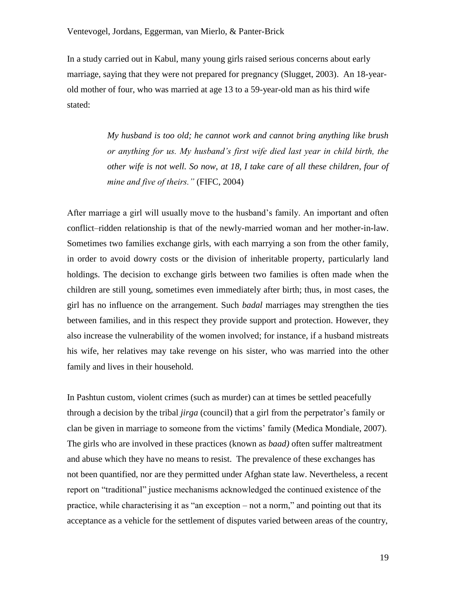In a study carried out in Kabul, many young girls raised serious concerns about early marriage, saying that they were not prepared for pregnancy (Slugget, 2003). An 18-yearold mother of four, who was married at age 13 to a 59-year-old man as his third wife stated:

> *My husband is too old; he cannot work and cannot bring anything like brush or anything for us. My husband's first wife died last year in child birth, the other wife is not well. So now, at 18, I take care of all these children, four of mine and five of theirs."* (FIFC, 2004)

After marriage a girl will usually move to the husband's family. An important and often conflict–ridden relationship is that of the newly-married woman and her mother-in-law. Sometimes two families exchange girls, with each marrying a son from the other family, in order to avoid dowry costs or the division of inheritable property, particularly land holdings. The decision to exchange girls between two families is often made when the children are still young, sometimes even immediately after birth; thus, in most cases, the girl has no influence on the arrangement. Such *badal* marriages may strengthen the ties between families, and in this respect they provide support and protection. However, they also increase the vulnerability of the women involved; for instance, if a husband mistreats his wife, her relatives may take revenge on his sister, who was married into the other family and lives in their household.

In Pashtun custom, violent crimes (such as murder) can at times be settled peacefully through a decision by the tribal *jirga* (council) that a girl from the perpetrator's family or clan be given in marriage to someone from the victims' family (Medica Mondiale, 2007). The girls who are involved in these practices (known as *baad)* often suffer maltreatment and abuse which they have no means to resist. The prevalence of these exchanges has not been quantified, nor are they permitted under Afghan state law. Nevertheless, a recent report on "traditional" justice mechanisms acknowledged the continued existence of the practice, while characterising it as "an exception – not a norm," and pointing out that its acceptance as a vehicle for the settlement of disputes varied between areas of the country,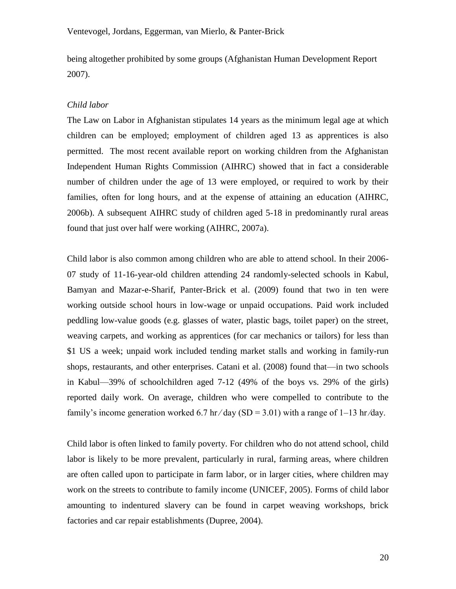being altogether prohibited by some groups (Afghanistan Human Development Report 2007).

#### *Child labor*

The Law on Labor in Afghanistan stipulates 14 years as the minimum legal age at which children can be employed; employment of children aged 13 as apprentices is also permitted. The most recent available report on working children from the Afghanistan Independent Human Rights Commission (AIHRC) showed that in fact a considerable number of children under the age of 13 were employed, or required to work by their families, often for long hours, and at the expense of attaining an education (AIHRC, 2006b). A subsequent AIHRC study of children aged 5-18 in predominantly rural areas found that just over half were working (AIHRC, 2007a).

Child labor is also common among children who are able to attend school. In their 2006- 07 study of 11-16-year-old children attending 24 randomly-selected schools in Kabul, Bamyan and Mazar-e-Sharif, Panter-Brick et al. (2009) found that two in ten were working outside school hours in low-wage or unpaid occupations. Paid work included peddling low-value goods (e.g. glasses of water, plastic bags, toilet paper) on the street, weaving carpets, and working as apprentices (for car mechanics or tailors) for less than \$1 US a week; unpaid work included tending market stalls and working in family-run shops, restaurants, and other enterprises. Catani et al. (2008) found that—in two schools in Kabul—39% of schoolchildren aged 7-12 (49% of the boys vs. 29% of the girls) reported daily work. On average, children who were compelled to contribute to the family's income generation worked 6.7 hr/day (SD = 3.01) with a range of 1–13 hr/day.

Child labor is often linked to family poverty. For children who do not attend school, child labor is likely to be more prevalent, particularly in rural, farming areas, where children are often called upon to participate in farm labor, or in larger cities, where children may work on the streets to contribute to family income (UNICEF, 2005). Forms of child labor amounting to indentured slavery can be found in carpet weaving workshops, brick factories and car repair establishments (Dupree, 2004).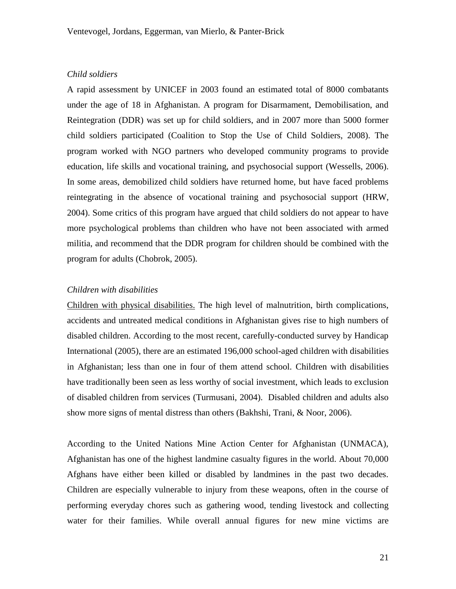#### *Child soldiers*

A rapid assessment by UNICEF in 2003 found an estimated total of 8000 combatants under the age of 18 in Afghanistan. A program for Disarmament, Demobilisation, and Reintegration (DDR) was set up for child soldiers, and in 2007 more than 5000 former child soldiers participated (Coalition to Stop the Use of Child Soldiers, 2008). The program worked with NGO partners who developed community programs to provide education, life skills and vocational training, and psychosocial support (Wessells, 2006). In some areas, demobilized child soldiers have returned home, but have faced problems reintegrating in the absence of vocational training and psychosocial support (HRW, 2004). Some critics of this program have argued that child soldiers do not appear to have more psychological problems than children who have not been associated with armed militia, and recommend that the DDR program for children should be combined with the program for adults (Chobrok, 2005).

### *Children with disabilities*

Children with physical disabilities. The high level of malnutrition, birth complications, accidents and untreated medical conditions in Afghanistan gives rise to high numbers of disabled children. According to the most recent, carefully-conducted survey by Handicap International (2005), there are an estimated 196,000 school-aged children with disabilities in Afghanistan; less than one in four of them attend school. Children with disabilities have traditionally been seen as less worthy of social investment, which leads to exclusion of disabled children from services (Turmusani, 2004). Disabled children and adults also show more signs of mental distress than others (Bakhshi, Trani, & Noor, 2006).

According to the United Nations Mine Action Center for Afghanistan (UNMACA), Afghanistan has one of the highest landmine casualty figures in the world. About 70,000 Afghans have either been killed or disabled by landmines in the past two decades. Children are especially vulnerable to injury from these weapons, often in the course of performing everyday chores such as gathering wood, tending livestock and collecting water for their families. While overall annual figures for new mine victims are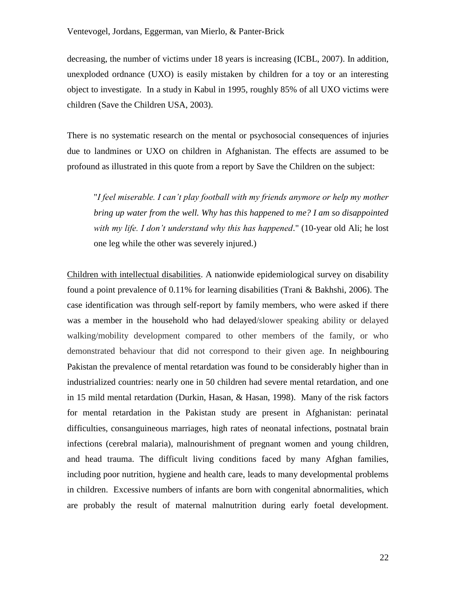decreasing, the number of victims under 18 years is increasing (ICBL, 2007). In addition, unexploded ordnance (UXO) is easily mistaken by children for a toy or an interesting object to investigate. In a study in Kabul in 1995, roughly 85% of all UXO victims were children (Save the Children USA, 2003).

There is no systematic research on the mental or psychosocial consequences of injuries due to landmines or UXO on children in Afghanistan. The effects are assumed to be profound as illustrated in this quote from a report by Save the Children on the subject:

"*I feel miserable. I can't play football with my friends anymore or help my mother bring up water from the well. Why has this happened to me? I am so disappointed with my life. I don't understand why this has happened*." (10-year old Ali; he lost one leg while the other was severely injured.)

Children with intellectual disabilities. A nationwide epidemiological survey on disability found a point prevalence of 0.11% for learning disabilities (Trani & Bakhshi, 2006). The case identification was through self-report by family members, who were asked if there was a member in the household who had delayed/slower speaking ability or delayed walking/mobility development compared to other members of the family, or who demonstrated behaviour that did not correspond to their given age. In neighbouring Pakistan the prevalence of mental retardation was found to be considerably higher than in industrialized countries: nearly one in 50 children had severe mental retardation, and one in 15 mild mental retardation (Durkin, Hasan, & Hasan, 1998). Many of the risk factors for mental retardation in the Pakistan study are present in Afghanistan: perinatal difficulties, consanguineous marriages, high rates of neonatal infections, postnatal brain infections (cerebral malaria), malnourishment of pregnant women and young children, and head trauma. The difficult living conditions faced by many Afghan families, including poor nutrition, hygiene and health care, leads to many developmental problems in children. Excessive numbers of infants are born with congenital abnormalities, which are probably the result of maternal malnutrition during early foetal development.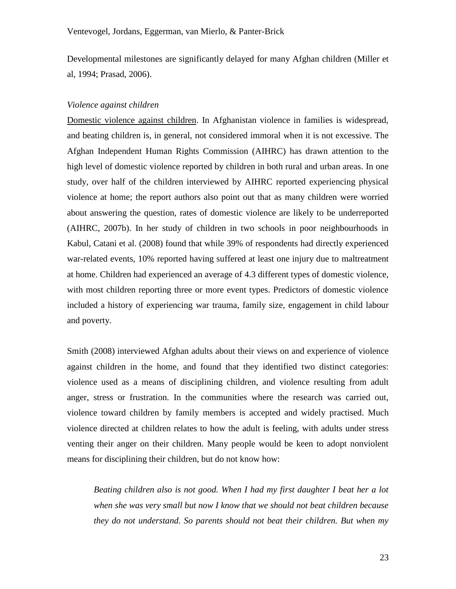Developmental milestones are significantly delayed for many Afghan children (Miller et al, 1994; Prasad, 2006).

#### *Violence against children*

Domestic violence against children. In Afghanistan violence in families is widespread, and beating children is, in general, not considered immoral when it is not excessive. The Afghan Independent Human Rights Commission (AIHRC) has drawn attention to the high level of domestic violence reported by children in both rural and urban areas. In one study, over half of the children interviewed by AIHRC reported experiencing physical violence at home; the report authors also point out that as many children were worried about answering the question, rates of domestic violence are likely to be underreported (AIHRC, 2007b). In her study of children in two schools in poor neighbourhoods in Kabul, Catani et al. (2008) found that while 39% of respondents had directly experienced war-related events, 10% reported having suffered at least one injury due to maltreatment at home. Children had experienced an average of 4.3 different types of domestic violence, with most children reporting three or more event types. Predictors of domestic violence included a history of experiencing war trauma, family size, engagement in child labour and poverty.

Smith (2008) interviewed Afghan adults about their views on and experience of violence against children in the home, and found that they identified two distinct categories: violence used as a means of disciplining children, and violence resulting from adult anger, stress or frustration. In the communities where the research was carried out, violence toward children by family members is accepted and widely practised. Much violence directed at children relates to how the adult is feeling, with adults under stress venting their anger on their children. Many people would be keen to adopt nonviolent means for disciplining their children, but do not know how:

*Beating children also is not good. When I had my first daughter I beat her a lot when she was very small but now I know that we should not beat children because they do not understand. So parents should not beat their children. But when my*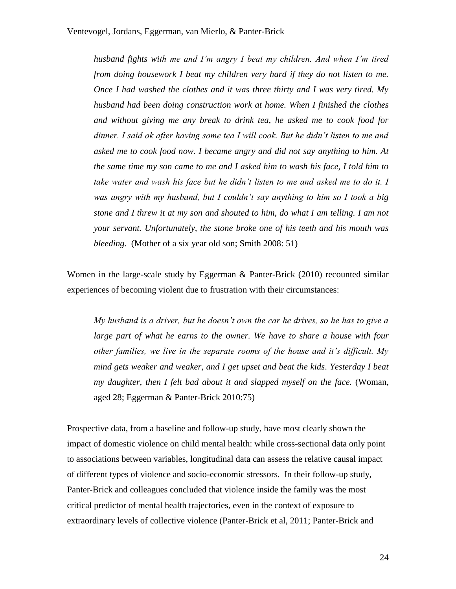*husband fights with me and I'm angry I beat my children. And when I'm tired from doing housework I beat my children very hard if they do not listen to me. Once I had washed the clothes and it was three thirty and I was very tired. My husband had been doing construction work at home. When I finished the clothes and without giving me any break to drink tea, he asked me to cook food for dinner. I said ok after having some tea I will cook. But he didn't listen to me and asked me to cook food now. I became angry and did not say anything to him. At the same time my son came to me and I asked him to wash his face, I told him to take water and wash his face but he didn't listen to me and asked me to do it. I was angry with my husband, but I couldn't say anything to him so I took a big stone and I threw it at my son and shouted to him, do what I am telling. I am not your servant. Unfortunately, the stone broke one of his teeth and his mouth was bleeding.* (Mother of a six year old son; Smith 2008: 51)

Women in the large-scale study by Eggerman & Panter-Brick (2010) recounted similar experiences of becoming violent due to frustration with their circumstances:

*My husband is a driver, but he doesn't own the car he drives, so he has to give a large part of what he earns to the owner. We have to share a house with four other families, we live in the separate rooms of the house and it's difficult. My mind gets weaker and weaker, and I get upset and beat the kids. Yesterday I beat my daughter, then I felt bad about it and slapped myself on the face.* (Woman, aged 28; Eggerman & Panter-Brick 2010:75)

Prospective data, from a baseline and follow-up study, have most clearly shown the impact of domestic violence on child mental health: while cross-sectional data only point to associations between variables, longitudinal data can assess the relative causal impact of different types of violence and socio-economic stressors. In their follow-up study, Panter-Brick and colleagues concluded that violence inside the family was the most critical predictor of mental health trajectories, even in the context of exposure to extraordinary levels of collective violence (Panter-Brick et al, 2011; Panter-Brick and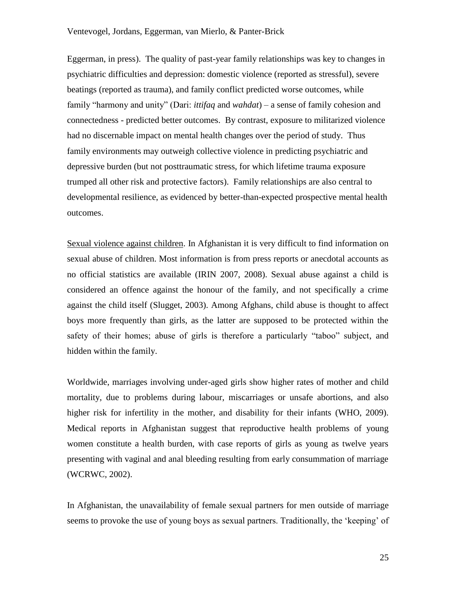Eggerman, in press). The quality of past-year family relationships was key to changes in psychiatric difficulties and depression: domestic violence (reported as stressful), severe beatings (reported as trauma), and family conflict predicted worse outcomes, while family "harmony and unity" (Dari: *ittifaq* and *wahdat*) – a sense of family cohesion and connectedness - predicted better outcomes. By contrast, exposure to militarized violence had no discernable impact on mental health changes over the period of study. Thus family environments may outweigh collective violence in predicting psychiatric and depressive burden (but not posttraumatic stress, for which lifetime trauma exposure trumped all other risk and protective factors). Family relationships are also central to developmental resilience, as evidenced by better-than-expected prospective mental health outcomes.

Sexual violence against children. In Afghanistan it is very difficult to find information on sexual abuse of children. Most information is from press reports or anecdotal accounts as no official statistics are available (IRIN 2007, 2008). Sexual abuse against a child is considered an offence against the honour of the family, and not specifically a crime against the child itself (Slugget, 2003). Among Afghans, child abuse is thought to affect boys more frequently than girls, as the latter are supposed to be protected within the safety of their homes; abuse of girls is therefore a particularly "taboo" subject, and hidden within the family.

Worldwide, marriages involving under-aged girls show higher rates of mother and child mortality, due to problems during labour, miscarriages or unsafe abortions, and also higher risk for infertility in the mother, and disability for their infants (WHO, 2009). Medical reports in Afghanistan suggest that reproductive health problems of young women constitute a health burden, with case reports of girls as young as twelve years presenting with vaginal and anal bleeding resulting from early consummation of marriage (WCRWC, 2002).

In Afghanistan, the unavailability of female sexual partners for men outside of marriage seems to provoke the use of young boys as sexual partners. Traditionally, the 'keeping' of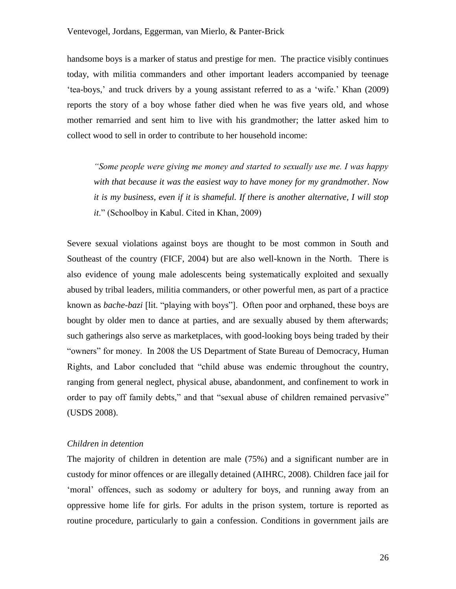handsome boys is a marker of status and prestige for men. The practice visibly continues today, with militia commanders and other important leaders accompanied by teenage 'tea-boys,' and truck drivers by a young assistant referred to as a 'wife.' Khan (2009) reports the story of a boy whose father died when he was five years old, and whose mother remarried and sent him to live with his grandmother; the latter asked him to collect wood to sell in order to contribute to her household income:

*"Some people were giving me money and started to sexually use me. I was happy with that because it was the easiest way to have money for my grandmother. Now it is my business, even if it is shameful. If there is another alternative, I will stop it*." (Schoolboy in Kabul. Cited in Khan, 2009)

Severe sexual violations against boys are thought to be most common in South and Southeast of the country (FICF, 2004) but are also well-known in the North. There is also evidence of young male adolescents being systematically exploited and sexually abused by tribal leaders, militia commanders, or other powerful men, as part of a practice known as *bache-bazi* [lit. "playing with boys"]. Often poor and orphaned, these boys are bought by older men to dance at parties, and are sexually abused by them afterwards; such gatherings also serve as marketplaces, with good-looking boys being traded by their "owners" for money. In 2008 the US Department of State Bureau of Democracy, Human Rights, and Labor concluded that "child abuse was endemic throughout the country, ranging from general neglect, physical abuse, abandonment, and confinement to work in order to pay off family debts," and that "sexual abuse of children remained pervasive" (USDS 2008).

## *Children in detention*

The majority of children in detention are male (75%) and a significant number are in custody for minor offences or are illegally detained (AIHRC, 2008). Children face jail for 'moral' offences, such as sodomy or adultery for boys, and running away from an oppressive home life for girls. For adults in the prison system, torture is reported as routine procedure, particularly to gain a confession. Conditions in government jails are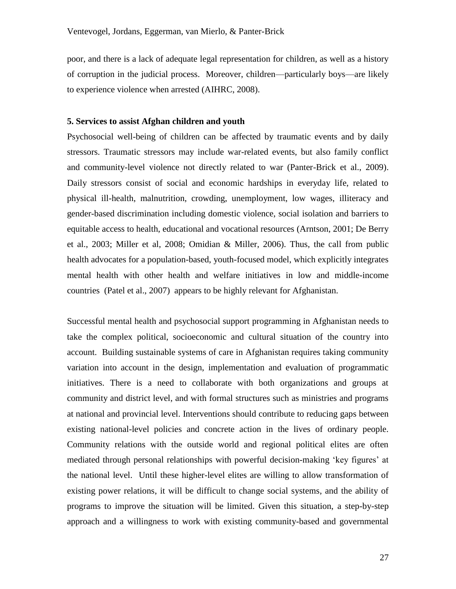poor, and there is a lack of adequate legal representation for children, as well as a history of corruption in the judicial process. Moreover, children—particularly boys—are likely to experience violence when arrested (AIHRC, 2008).

#### **5. Services to assist Afghan children and youth**

Psychosocial well-being of children can be affected by traumatic events and by daily stressors. Traumatic stressors may include war-related events, but also family conflict and community-level violence not directly related to war (Panter-Brick et al., 2009). Daily stressors consist of social and economic hardships in everyday life, related to physical ill-health, malnutrition, crowding, unemployment, low wages, illiteracy and gender-based discrimination including domestic violence, social isolation and barriers to equitable access to health, educational and vocational resources (Arntson, 2001; De Berry et al., 2003; Miller et al, 2008; Omidian & Miller, 2006). Thus, the call from public health advocates for a population-based, youth-focused model, which explicitly integrates mental health with other health and welfare initiatives in low and middle-income countries (Patel et al., 2007) appears to be highly relevant for Afghanistan.

Successful mental health and psychosocial support programming in Afghanistan needs to take the complex political, socioeconomic and cultural situation of the country into account. Building sustainable systems of care in Afghanistan requires taking community variation into account in the design, implementation and evaluation of programmatic initiatives. There is a need to collaborate with both organizations and groups at community and district level, and with formal structures such as ministries and programs at national and provincial level. Interventions should contribute to reducing gaps between existing national-level policies and concrete action in the lives of ordinary people. Community relations with the outside world and regional political elites are often mediated through personal relationships with powerful decision-making 'key figures' at the national level. Until these higher-level elites are willing to allow transformation of existing power relations, it will be difficult to change social systems, and the ability of programs to improve the situation will be limited. Given this situation, a step-by-step approach and a willingness to work with existing community-based and governmental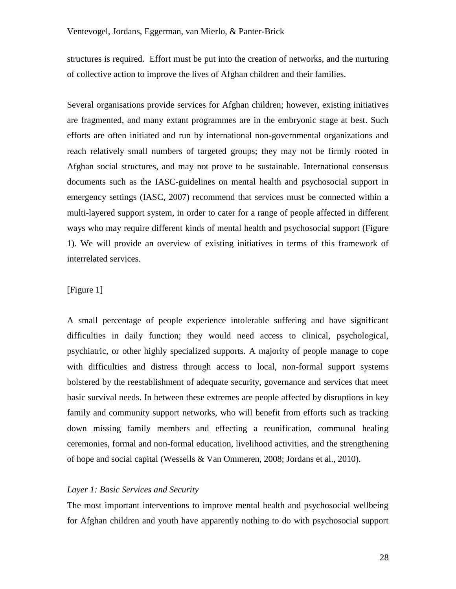#### Ventevogel, Jordans, Eggerman, van Mierlo, & Panter-Brick

structures is required. Effort must be put into the creation of networks, and the nurturing of collective action to improve the lives of Afghan children and their families.

Several organisations provide services for Afghan children; however, existing initiatives are fragmented, and many extant programmes are in the embryonic stage at best. Such efforts are often initiated and run by international non-governmental organizations and reach relatively small numbers of targeted groups; they may not be firmly rooted in Afghan social structures, and may not prove to be sustainable. International consensus documents such as the IASC-guidelines on mental health and psychosocial support in emergency settings (IASC, 2007) recommend that services must be connected within a multi-layered support system, in order to cater for a range of people affected in different ways who may require different kinds of mental health and psychosocial support (Figure 1). We will provide an overview of existing initiatives in terms of this framework of interrelated services.

## [Figure 1]

A small percentage of people experience intolerable suffering and have significant difficulties in daily function; they would need access to clinical, psychological, psychiatric, or other highly specialized supports. A majority of people manage to cope with difficulties and distress through access to local, non-formal support systems bolstered by the reestablishment of adequate security, governance and services that meet basic survival needs. In between these extremes are people affected by disruptions in key family and community support networks, who will benefit from efforts such as tracking down missing family members and effecting a reunification, communal healing ceremonies, formal and non-formal education, livelihood activities, and the strengthening of hope and social capital (Wessells & Van Ommeren, 2008; Jordans et al., 2010).

#### *Layer 1: Basic Services and Security*

The most important interventions to improve mental health and psychosocial wellbeing for Afghan children and youth have apparently nothing to do with psychosocial support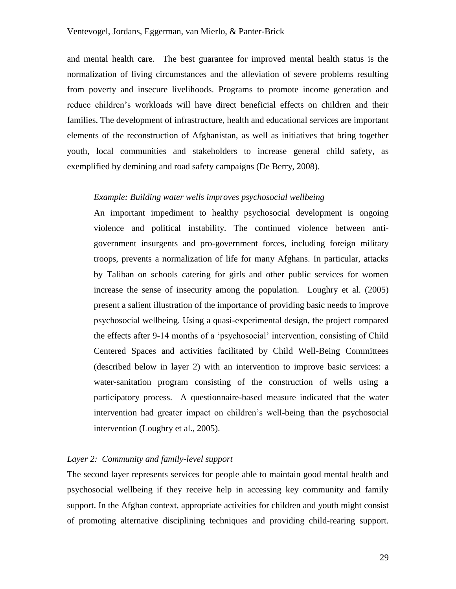and mental health care. The best guarantee for improved mental health status is the normalization of living circumstances and the alleviation of severe problems resulting from poverty and insecure livelihoods. Programs to promote income generation and reduce children's workloads will have direct beneficial effects on children and their families. The development of infrastructure, health and educational services are important elements of the reconstruction of Afghanistan, as well as initiatives that bring together youth, local communities and stakeholders to increase general child safety, as exemplified by demining and road safety campaigns (De Berry, 2008).

#### *Example: Building water wells improves psychosocial wellbeing*

An important impediment to healthy psychosocial development is ongoing violence and political instability. The continued violence between antigovernment insurgents and pro-government forces, including foreign military troops, prevents a normalization of life for many Afghans. In particular, attacks by Taliban on schools catering for girls and other public services for women increase the sense of insecurity among the population. Loughry et al. (2005) present a salient illustration of the importance of providing basic needs to improve psychosocial wellbeing. Using a quasi-experimental design, the project compared the effects after 9-14 months of a 'psychosocial' intervention, consisting of Child Centered Spaces and activities facilitated by Child Well-Being Committees (described below in layer 2) with an intervention to improve basic services: a water-sanitation program consisting of the construction of wells using a participatory process. A questionnaire-based measure indicated that the water intervention had greater impact on children's well-being than the psychosocial intervention (Loughry et al., 2005).

## *Layer 2: Community and family-level support*

The second layer represents services for people able to maintain good mental health and psychosocial wellbeing if they receive help in accessing key community and family support. In the Afghan context, appropriate activities for children and youth might consist of promoting alternative disciplining techniques and providing child-rearing support.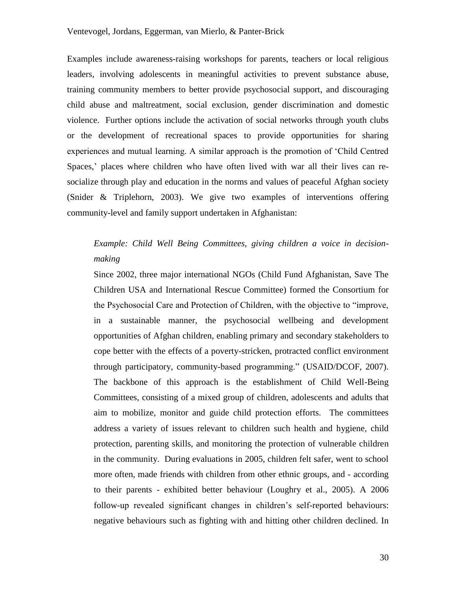Examples include awareness-raising workshops for parents, teachers or local religious leaders, involving adolescents in meaningful activities to prevent substance abuse, training community members to better provide psychosocial support, and discouraging child abuse and maltreatment, social exclusion, gender discrimination and domestic violence. Further options include the activation of social networks through youth clubs or the development of recreational spaces to provide opportunities for sharing experiences and mutual learning. A similar approach is the promotion of 'Child Centred Spaces,' places where children who have often lived with war all their lives can resocialize through play and education in the norms and values of peaceful Afghan society (Snider & Triplehorn, 2003). We give two examples of interventions offering community-level and family support undertaken in Afghanistan:

# *Example: Child Well Being Committees, giving children a voice in decisionmaking*

Since 2002, three major international NGOs (Child Fund Afghanistan, Save The Children USA and International Rescue Committee) formed the Consortium for the Psychosocial Care and Protection of Children, with the objective to "improve, in a sustainable manner, the psychosocial wellbeing and development opportunities of Afghan children, enabling primary and secondary stakeholders to cope better with the effects of a poverty-stricken, protracted conflict environment through participatory, community-based programming." (USAID/DCOF, 2007). The backbone of this approach is the establishment of Child Well-Being Committees, consisting of a mixed group of children, adolescents and adults that aim to mobilize, monitor and guide child protection efforts. The committees address a variety of issues relevant to children such health and hygiene, child protection, parenting skills, and monitoring the protection of vulnerable children in the community. During evaluations in 2005, children felt safer, went to school more often, made friends with children from other ethnic groups, and - according to their parents - exhibited better behaviour (Loughry et al., 2005). A 2006 follow-up revealed significant changes in children's self-reported behaviours: negative behaviours such as fighting with and hitting other children declined. In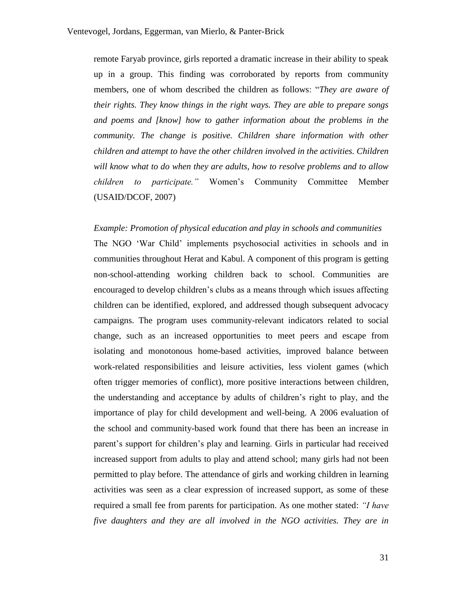remote Faryab province, girls reported a dramatic increase in their ability to speak up in a group. This finding was corroborated by reports from community members, one of whom described the children as follows: "*They are aware of their rights. They know things in the right ways. They are able to prepare songs and poems and [know] how to gather information about the problems in the community. The change is positive. Children share information with other children and attempt to have the other children involved in the activities. Children will know what to do when they are adults, how to resolve problems and to allow children to participate."* Women's Community Committee Member (USAID/DCOF, 2007)

#### *Example: Promotion of physical education and play in schools and communities*

The NGO 'War Child' implements psychosocial activities in schools and in communities throughout Herat and Kabul. A component of this program is getting non-school-attending working children back to school. Communities are encouraged to develop children's clubs as a means through which issues affecting children can be identified, explored, and addressed though subsequent advocacy campaigns. The program uses community-relevant indicators related to social change, such as an increased opportunities to meet peers and escape from isolating and monotonous home-based activities, improved balance between work-related responsibilities and leisure activities, less violent games (which often trigger memories of conflict), more positive interactions between children, the understanding and acceptance by adults of children's right to play, and the importance of play for child development and well-being. A 2006 evaluation of the school and community-based work found that there has been an increase in parent's support for children's play and learning. Girls in particular had received increased support from adults to play and attend school; many girls had not been permitted to play before. The attendance of girls and working children in learning activities was seen as a clear expression of increased support, as some of these required a small fee from parents for participation. As one mother stated: *"I have five daughters and they are all involved in the NGO activities. They are in*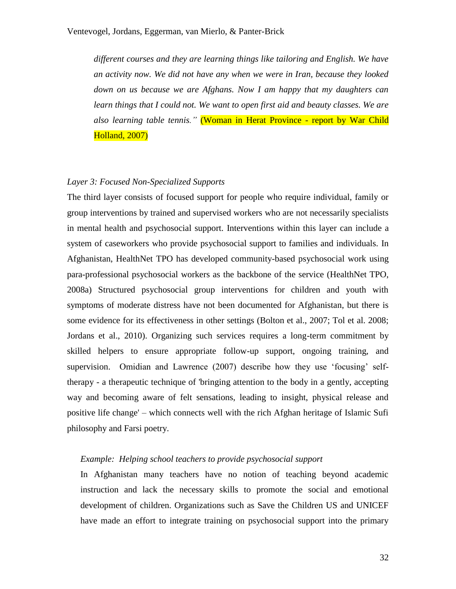*different courses and they are learning things like tailoring and English. We have an activity now. We did not have any when we were in Iran, because they looked down on us because we are Afghans. Now I am happy that my daughters can learn things that I could not. We want to open first aid and beauty classes. We are also learning table tennis."* (Woman in Herat Province - report by War Child Holland, 2007)

## *Layer 3: Focused Non-Specialized Supports*

The third layer consists of focused support for people who require individual, family or group interventions by trained and supervised workers who are not necessarily specialists in mental health and psychosocial support. Interventions within this layer can include a system of caseworkers who provide psychosocial support to families and individuals. In Afghanistan, HealthNet TPO has developed community-based psychosocial work using para-professional psychosocial workers as the backbone of the service (HealthNet TPO, 2008a) Structured psychosocial group interventions for children and youth with symptoms of moderate distress have not been documented for Afghanistan, but there is some evidence for its effectiveness in other settings (Bolton et al., 2007; Tol et al. 2008; Jordans et al., 2010). Organizing such services requires a long-term commitment by skilled helpers to ensure appropriate follow-up support, ongoing training, and supervision. Omidian and Lawrence (2007) describe how they use 'focusing' selftherapy - a therapeutic technique of 'bringing attention to the body in a gently, accepting way and becoming aware of felt sensations, leading to insight, physical release and positive life change' – which connects well with the rich Afghan heritage of Islamic Sufi philosophy and Farsi poetry.

#### *Example: Helping school teachers to provide psychosocial support*

In Afghanistan many teachers have no notion of teaching beyond academic instruction and lack the necessary skills to promote the social and emotional development of children. Organizations such as Save the Children US and UNICEF have made an effort to integrate training on psychosocial support into the primary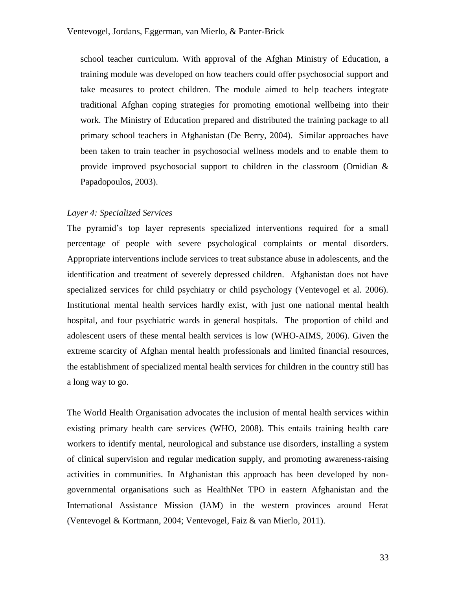school teacher curriculum. With approval of the Afghan Ministry of Education, a training module was developed on how teachers could offer psychosocial support and take measures to protect children. The module aimed to help teachers integrate traditional Afghan coping strategies for promoting emotional wellbeing into their work. The Ministry of Education prepared and distributed the training package to all primary school teachers in Afghanistan (De Berry, 2004). Similar approaches have been taken to train teacher in psychosocial wellness models and to enable them to provide improved psychosocial support to children in the classroom (Omidian & Papadopoulos, 2003).

## *Layer 4: Specialized Services*

The pyramid's top layer represents specialized interventions required for a small percentage of people with severe psychological complaints or mental disorders. Appropriate interventions include services to treat substance abuse in adolescents, and the identification and treatment of severely depressed children. Afghanistan does not have specialized services for child psychiatry or child psychology (Ventevogel et al. 2006). Institutional mental health services hardly exist, with just one national mental health hospital, and four psychiatric wards in general hospitals. The proportion of child and adolescent users of these mental health services is low (WHO-AIMS, 2006). Given the extreme scarcity of Afghan mental health professionals and limited financial resources, the establishment of specialized mental health services for children in the country still has a long way to go.

The World Health Organisation advocates the inclusion of mental health services within existing primary health care services (WHO, 2008). This entails training health care workers to identify mental, neurological and substance use disorders, installing a system of clinical supervision and regular medication supply, and promoting awareness-raising activities in communities. In Afghanistan this approach has been developed by nongovernmental organisations such as HealthNet TPO in eastern Afghanistan and the International Assistance Mission (IAM) in the western provinces around Herat (Ventevogel & Kortmann, 2004; Ventevogel, Faiz & van Mierlo, 2011).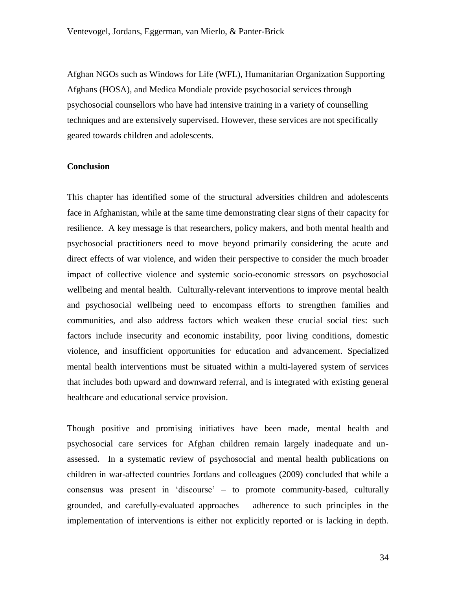Afghan NGOs such as Windows for Life (WFL), Humanitarian Organization Supporting Afghans (HOSA), and Medica Mondiale provide psychosocial services through psychosocial counsellors who have had intensive training in a variety of counselling techniques and are extensively supervised. However, these services are not specifically geared towards children and adolescents.

#### **Conclusion**

This chapter has identified some of the structural adversities children and adolescents face in Afghanistan, while at the same time demonstrating clear signs of their capacity for resilience. A key message is that researchers, policy makers, and both mental health and psychosocial practitioners need to move beyond primarily considering the acute and direct effects of war violence, and widen their perspective to consider the much broader impact of collective violence and systemic socio-economic stressors on psychosocial wellbeing and mental health. Culturally-relevant interventions to improve mental health and psychosocial wellbeing need to encompass efforts to strengthen families and communities, and also address factors which weaken these crucial social ties: such factors include insecurity and economic instability, poor living conditions, domestic violence, and insufficient opportunities for education and advancement. Specialized mental health interventions must be situated within a multi-layered system of services that includes both upward and downward referral, and is integrated with existing general healthcare and educational service provision.

Though positive and promising initiatives have been made, mental health and psychosocial care services for Afghan children remain largely inadequate and unassessed. In a systematic review of psychosocial and mental health publications on children in war-affected countries Jordans and colleagues (2009) concluded that while a consensus was present in 'discourse' – to promote community-based, culturally grounded, and carefully-evaluated approaches – adherence to such principles in the implementation of interventions is either not explicitly reported or is lacking in depth.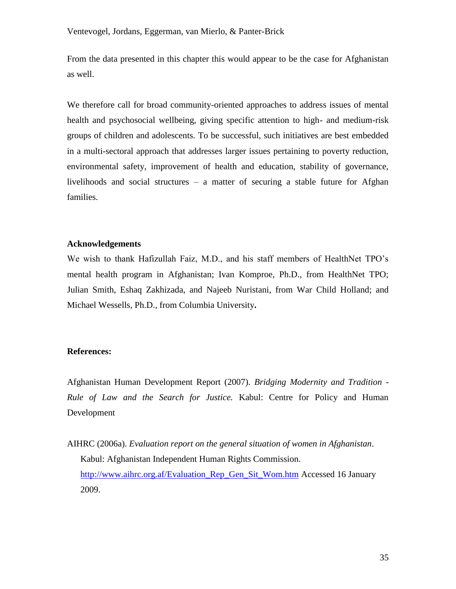From the data presented in this chapter this would appear to be the case for Afghanistan as well.

We therefore call for broad community-oriented approaches to address issues of mental health and psychosocial wellbeing, giving specific attention to high- and medium-risk groups of children and adolescents. To be successful, such initiatives are best embedded in a multi-sectoral approach that addresses larger issues pertaining to poverty reduction, environmental safety, improvement of health and education, stability of governance, livelihoods and social structures – a matter of securing a stable future for Afghan families.

## **Acknowledgements**

We wish to thank Hafizullah Faiz, M.D., and his staff members of HealthNet TPO's mental health program in Afghanistan; Ivan Komproe, Ph.D., from HealthNet TPO; Julian Smith, Eshaq Zakhizada, and Najeeb Nuristani, from War Child Holland; and Michael Wessells, Ph.D., from Columbia University**.** 

## **References:**

Afghanistan Human Development Report (2007). *Bridging Modernity and Tradition - Rule of Law and the Search for Justice.* Kabul: Centre for Policy and Human Development

AIHRC (2006a). *Evaluation report on the general situation of women in Afghanistan*. Kabul: Afghanistan Independent Human Rights Commission. [http://www.aihrc.org.af/Evaluation\\_Rep\\_Gen\\_Sit\\_Wom.htm](http://www.aihrc.org.af/Evaluation_Rep_Gen_Sit_Wom.htm) Accessed 16 January 2009.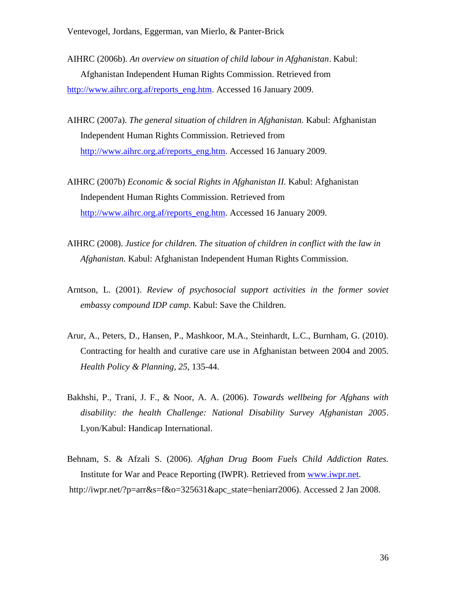Ventevogel, Jordans, Eggerman, van Mierlo, & Panter-Brick

AIHRC (2006b). *An overview on situation of child labour in Afghanistan*. Kabul: Afghanistan Independent Human Rights Commission. Retrieved from [http://www.aihrc.org.af/reports\\_eng.htm.](http://www.aihrc.org.af/reports_eng.htm) Accessed 16 January 2009.

- AIHRC (2007a). *The general situation of children in Afghanistan.* Kabul: Afghanistan Independent Human Rights Commission. Retrieved from [http://www.aihrc.org.af/reports\\_eng.htm.](http://www.aihrc.org.af/reports_eng.htm) Accessed 16 January 2009.
- AIHRC (2007b) *Economic & social Rights in Afghanistan II.* Kabul: Afghanistan Independent Human Rights Commission. Retrieved from [http://www.aihrc.org.af/reports\\_eng.htm.](http://www.aihrc.org.af/reports_eng.htm) Accessed 16 January 2009.
- AIHRC (2008). *Justice for children. The situation of children in conflict with the law in Afghanistan.* Kabul: Afghanistan Independent Human Rights Commission.
- Arntson, L. (2001). *Review of psychosocial support activities in the former soviet embassy compound IDP camp.* Kabul: Save the Children.
- Arur, A., Peters, D., Hansen, P., Mashkoor, M.A., Steinhardt, L.C., Burnham, G. (2010). Contracting for health and curative care use in Afghanistan between 2004 and 2005. *Health Policy & Planning, 25*, 135-44.
- Bakhshi, P., Trani, J. F., & Noor, A. A. (2006). *Towards wellbeing for Afghans with disability: the health Challenge: National Disability Survey Afghanistan 2005*. Lyon/Kabul: Handicap International.
- Behnam, S. & Afzali S. (2006). *Afghan Drug Boom Fuels Child Addiction Rates.*  Institute for War and Peace Reporting (IWPR). Retrieved from [www.iwpr.net.](http://www.iwpr.net/) http://iwpr.net/?p=arr&s=f&o=325631&apc\_state=heniarr2006). Accessed 2 Jan 2008.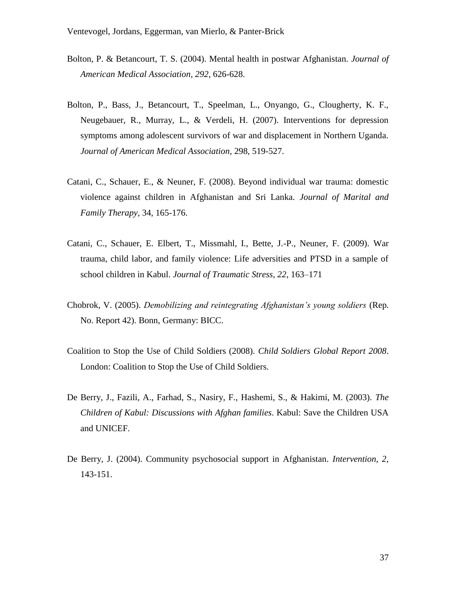- Bolton, P. & Betancourt, T. S. (2004). Mental health in postwar Afghanistan. *Journal of American Medical Association, 292*, 626-628.
- Bolton, P., Bass, J., Betancourt, T., Speelman, L., Onyango, G., Clougherty, K. F., Neugebauer, R., Murray, L., & Verdeli, H. (2007). Interventions for depression symptoms among adolescent survivors of war and displacement in Northern Uganda. *Journal of American Medical Association*, 298, 519-527.
- [Catani, C., Schauer, E., & Neuner, F. \(2008\). Beyond individual war trauma: domestic](http://www.vivofoundation.net/attachement/1028709819-32.zip)  [violence against children in Afghanistan and Sri Lanka.](http://www.vivofoundation.net/attachement/1028709819-32.zip) *Journal of Marital and [Family Therapy,](http://www.vivofoundation.net/attachement/1028709819-32.zip)* 34, 165-176.
- Catani, C., Schauer, E. Elbert, T., Missmahl, I., Bette, J.-P., Neuner, F. (2009). War trauma, child labor, and family violence: Life adversities and PTSD in a sample of school children in Kabul. *Journal of Traumatic Stress, 22*, 163–171
- Chobrok, V. (2005). *Demobilizing and reintegrating Afghanistan's young soldiers* (Rep. No. Report 42). Bonn, Germany: BICC.
- Coalition to Stop the Use of Child Soldiers (2008). *Child Soldiers Global Report 2008*. London: Coalition to Stop the Use of Child Soldiers.
- De Berry, J., Fazili, A., Farhad, S., Nasiry, F., Hashemi, S., & Hakimi, M. (2003). *The Children of Kabul: Discussions with Afghan families*. Kabul: Save the Children USA and UNICEF.
- De Berry, J. (2004). Community psychosocial support in Afghanistan. *Intervention, 2*, 143-151.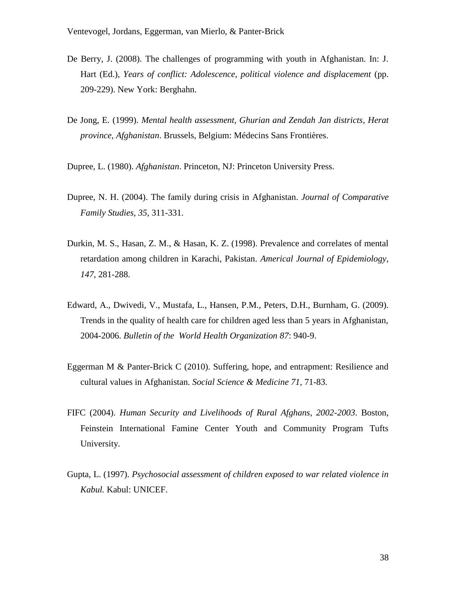- De Berry, J. (2008). The challenges of programming with youth in Afghanistan. In: J. Hart (Ed.), *Years of conflict: Adolescence, political violence and displacement* (pp. 209-229). New York: Berghahn.
- De Jong, E. (1999). *Mental health assessment, Ghurian and Zendah Jan districts, Herat province, Afghanistan*. Brussels, Belgium: Médecins Sans Frontières.
- Dupree, L. (1980). *Afghanistan*. Princeton, NJ: Princeton University Press.
- Dupree, N. H. (2004). The family during crisis in Afghanistan. *Journal of Comparative Family Studies, 35*, 311-331.
- Durkin, M. S., Hasan, Z. M., & Hasan, K. Z. (1998). Prevalence and correlates of mental retardation among children in Karachi, Pakistan. *Americal Journal of Epidemiology*, *147*, 281-288.
- Edward, A., Dwivedi, V., Mustafa, L., Hansen, P.M., Peters, D.H., Burnham, G. (2009). Trends in the quality of health care for children aged less than 5 years in Afghanistan, 2004-2006. *Bulletin of the World Health Organization 87*: 940-9.
- Eggerman M & Panter-Brick C (2010). Suffering, hope, and entrapment: Resilience and cultural values in Afghanistan. *Social Science & Medicine 71*, 71-83.
- FIFC (2004). *Human Security and Livelihoods of Rural Afghans, 2002-2003*. Boston, Feinstein International Famine Center Youth and Community Program Tufts University.
- Gupta, L. (1997). *Psychosocial assessment of children exposed to war related violence in Kabul.* Kabul: UNICEF.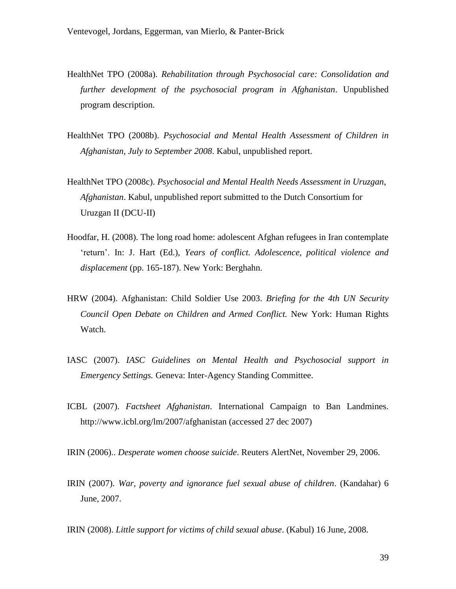- HealthNet TPO (2008a). *Rehabilitation through Psychosocial care: Consolidation and further development of the psychosocial program in Afghanistan*. Unpublished program description.
- HealthNet TPO (2008b). *Psychosocial and Mental Health Assessment of Children in Afghanistan, July to September 2008*. Kabul, unpublished report.
- HealthNet TPO (2008c). *Psychosocial and Mental Health Needs Assessment in Uruzgan, Afghanistan*. Kabul, unpublished report submitted to the Dutch Consortium for Uruzgan II (DCU-II)
- Hoodfar, H. (2008). The long road home: adolescent Afghan refugees in Iran contemplate 'return'. In: J. Hart (Ed.), *Years of conflict. Adolescence, political violence and displacement* (pp. 165-187). New York: Berghahn.
- HRW (2004). Afghanistan: Child Soldier Use 2003. *Briefing for the 4th UN Security Council Open Debate on Children and Armed Conflict.* New York: Human Rights Watch.
- IASC (2007). *IASC Guidelines on Mental Health and Psychosocial support in Emergency Settings.* Geneva: Inter-Agency Standing Committee.
- ICBL (2007). *Factsheet Afghanistan*. International Campaign to Ban Landmines. http://www.icbl.org/lm/2007/afghanistan (accessed 27 dec 2007)

IRIN (2006).. *Desperate women choose suicide*. Reuters AlertNet, November 29, 2006.

- IRIN (2007). *War, poverty and ignorance fuel sexual abuse of children*. (Kandahar) 6 June, 2007.
- IRIN (2008). *Little support for victims of child sexual abuse*. (Kabul) 16 June, 2008.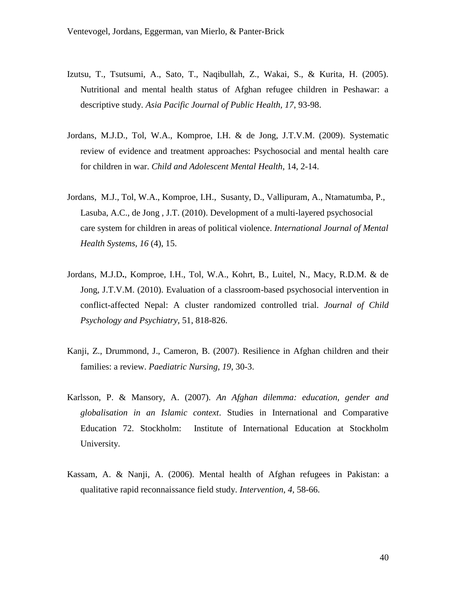- Izutsu, T., Tsutsumi, A., Sato, T., Naqibullah, Z., Wakai, S., & Kurita, H. (2005). Nutritional and mental health status of Afghan refugee children in Peshawar: a descriptive study. *Asia Pacific Journal of Public Health, 17*, 93-98.
- Jordans, M.J.D., Tol, W.A., Komproe, I.H. & de Jong, J.T.V.M. (2009). Systematic review of evidence and treatment approaches: Psychosocial and mental health care for children in war. *Child and Adolescent Mental Health,* 14, 2-14.
- Jordans, M.J., Tol, W.A., Komproe, I.H., Susanty, D., Vallipuram, A., Ntamatumba, P., Lasuba, A.C., de Jong , J.T. (2010). Development of a multi-layered psychosocial care system for children in areas of political violence. *International Journal of Mental Health Systems, 16* (4), 15.
- Jordans, M.J.D**.**, Komproe, I.H., Tol, W.A., Kohrt, B., Luitel, N., Macy, R.D.M. & de Jong, J.T.V.M. (2010). Evaluation of a classroom-based psychosocial intervention in conflict-affected Nepal: A cluster randomized controlled trial. *Journal of Child Psychology and Psychiatry,* 51, 818-826.
- Kanji, Z., Drummond, J., Cameron, B. (2007). Resilience in Afghan children and their families: a review. *Paediatric Nursing, 19*, 30-3.
- Karlsson, P. & Mansory, A. (2007). *An Afghan dilemma: education, gender and globalisation in an Islamic context*. Studies in International and Comparative Education 72. Stockholm: Institute of International Education at Stockholm University.
- Kassam, A. & Nanji, A. (2006). Mental health of Afghan refugees in Pakistan: a qualitative rapid reconnaissance field study. *Intervention, 4,* 58-66.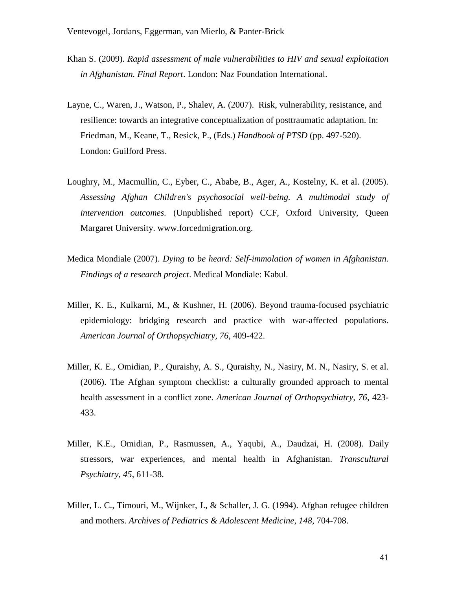- Khan S. (2009). *Rapid assessment of male vulnerabilities to HIV and sexual exploitation in Afghanistan. Final Report*. London: Naz Foundation International.
- Layne, C., Waren, J., Watson, P., Shalev, A. (2007). Risk, vulnerability, resistance, and resilience: towards an integrative conceptualization of posttraumatic adaptation. In: Friedman, M., Keane, T., Resick, P., (Eds.) *Handbook of PTSD* (pp. 497-520). London: Guilford Press.
- Loughry, M., Macmullin, C., Eyber, C., Ababe, B., Ager, A., Kostelny, K. et al. (2005). *Assessing Afghan Children's psychosocial well-being. A multimodal study of intervention outcomes.* (Unpublished report) CCF, Oxford University, Queen Margaret University. www.forcedmigration.org.
- Medica Mondiale (2007). *Dying to be heard: Self-immolation of women in Afghanistan. Findings of a research project*. Medical Mondiale: Kabul.
- Miller, K. E., Kulkarni, M., & Kushner, H. (2006). Beyond trauma-focused psychiatric epidemiology: bridging research and practice with war-affected populations. *American Journal of Orthopsychiatry, 76*, 409-422.
- Miller, K. E., Omidian, P., Quraishy, A. S., Quraishy, N., Nasiry, M. N., Nasiry, S. et al. (2006). The Afghan symptom checklist: a culturally grounded approach to mental health assessment in a conflict zone*. American Journal of Orthopsychiatry, 76*, 423- 433.
- Miller, K.E., Omidian, P., Rasmussen, A., Yaqubi, A., Daudzai, H. (2008). Daily stressors, war experiences, and mental health in Afghanistan. *Transcultural Psychiatry, 45*, 611-38.
- Miller, L. C., Timouri, M., Wijnker, J., & Schaller, J. G. (1994). Afghan refugee children and mothers. *Archives of Pediatrics & Adolescent Medicine, 148,* 704-708.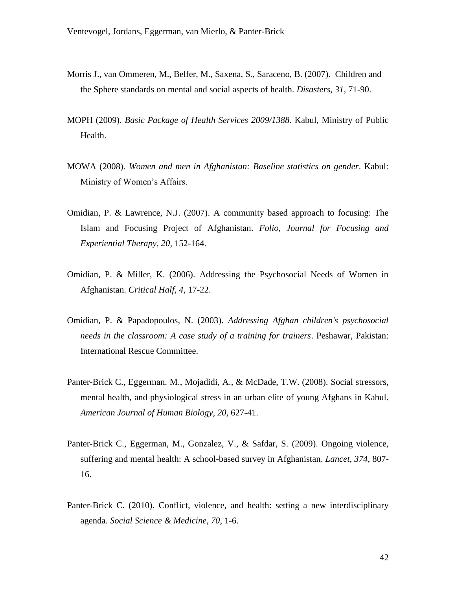- Morris J., van Ommeren, M., Belfer, M., Saxena, S., Saraceno, B. (2007). Children and the Sphere standards on mental and social aspects of health. *Disasters, 31*, 71-90.
- MOPH (2009). *Basic Package of Health Services 2009/1388*. Kabul, Ministry of Public Health.
- MOWA (2008). *Women and men in Afghanistan: Baseline statistics on gender*. Kabul: Ministry of Women's Affairs.
- Omidian, P. & Lawrence, N.J. (2007). A community based approach to focusing: The Islam and Focusing Project of Afghanistan. *Folio, Journal for Focusing and Experiential Therapy, 20,* 152-164.
- Omidian, P. & Miller, K. (2006). Addressing the Psychosocial Needs of Women in Afghanistan. *Critical Half, 4*, 17-22.
- Omidian, P. & Papadopoulos, N. (2003). *Addressing Afghan children's psychosocial needs in the classroom: A case study of a training for trainers*. Peshawar, Pakistan: International Rescue Committee.
- Panter-Brick C., Eggerman. M., Mojadidi, A., & McDade, T.W. (2008). Social stressors, mental health, and physiological stress in an urban elite of young Afghans in Kabul. *American Journal of Human Biology, 20,* 627-41.
- Panter-Brick C., Eggerman, M., Gonzalez, V., & Safdar, S. (2009). Ongoing violence, suffering and mental health: A school-based survey in Afghanistan. *Lancet, 374*, 807- 16.
- Panter-Brick C. (2010). Conflict, violence, and health: setting a new interdisciplinary agenda. *Social Science & Medicine, 70*, 1-6.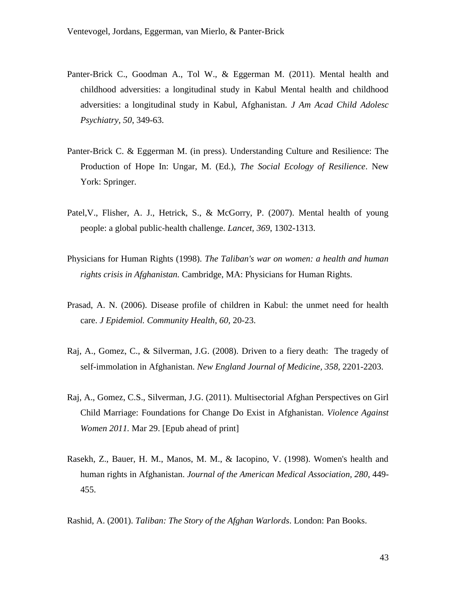- Panter-Brick C., Goodman A., Tol W., & Eggerman M. (2011). Mental health and childhood adversities: a longitudinal study in Kabul Mental health and childhood adversities: a longitudinal study in Kabul, Afghanistan. *J Am Acad Child Adolesc Psychiatry, 50*, 349-63.
- Panter-Brick C. & Eggerman M. (in press). Understanding Culture and Resilience: The Production of Hope In: Ungar, M. (Ed.), *The Social Ecology of Resilience*. New York: Springer.
- Patel, V., Flisher, A. J., Hetrick, S., & McGorry, P. (2007). Mental health of young people: a global public-health challenge. *Lancet, 369*, 1302-1313.
- Physicians for Human Rights (1998). *The Taliban's war on women: a health and human rights crisis in Afghanistan.* Cambridge, MA: Physicians for Human Rights.
- Prasad, A. N. (2006). Disease profile of children in Kabul: the unmet need for health care. *J Epidemiol. Community Health, 60,* 20-23.
- Raj, A., Gomez, C., & Silverman, J.G. (2008). Driven to a fiery death: The tragedy of self-immolation in Afghanistan. *New England Journal of Medicine, 358,* 2201-2203.
- Raj, A., Gomez, C.S., Silverman, J.G. (2011). Multisectorial Afghan Perspectives on Girl Child Marriage: Foundations for Change Do Exist in Afghanistan. *Violence Against Women 2011.* Mar 29. [Epub ahead of print]
- Rasekh, Z., Bauer, H. M., Manos, M. M., & Iacopino, V. (1998). Women's health and human rights in Afghanistan. *Journal of the American Medical Association, 280*, 449- 455.

Rashid, A. (2001). *Taliban: The Story of the Afghan Warlords*. London: Pan Books.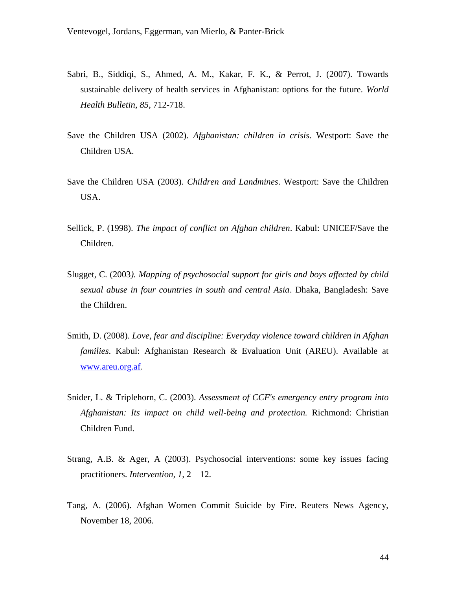- Sabri, B., Siddiqi, S., Ahmed, A. M., Kakar, F. K., & Perrot, J. (2007). Towards sustainable delivery of health services in Afghanistan: options for the future. *World Health Bulletin, 85*, 712-718.
- Save the Children USA (2002). *Afghanistan: children in crisis*. Westport: Save the Children USA.
- Save the Children USA (2003). *Children and Landmines*. Westport: Save the Children USA.
- Sellick, P. (1998). *The impact of conflict on Afghan children*. Kabul: UNICEF/Save the Children.
- Slugget, C. (2003*). Mapping of psychosocial support for girls and boys affected by child sexual abuse in four countries in south and central Asia*. Dhaka, Bangladesh: Save the Children.
- Smith, D. (2008). *Love, fear and discipline: Everyday violence toward children in Afghan families*. Kabul: Afghanistan Research & Evaluation Unit (AREU). Available at [www.areu.org.af.](http://www.areu.org.af/)
- Snider, L. & Triplehorn, C. (2003). *Assessment of CCF's emergency entry program into Afghanistan: Its impact on child well-being and protection.* Richmond: Christian Children Fund.
- Strang, A.B. & Ager, A (2003). Psychosocial interventions: some key issues facing practitioners. *Intervention, 1,* 2 – 12.
- Tang, A. (2006). Afghan Women Commit Suicide by Fire. Reuters News Agency, November 18, 2006.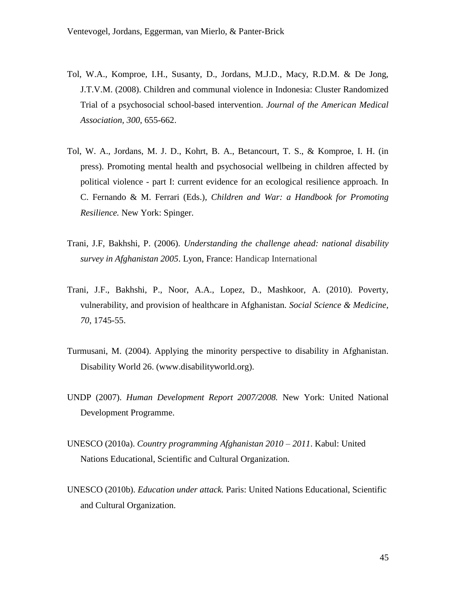- Tol, W.A., Komproe, I.H., Susanty, D., Jordans, M.J.D., Macy, R.D.M. & De Jong, J.T.V.M. (2008). Children and communal violence in Indonesia: Cluster Randomized Trial of a psychosocial school-based intervention. *Journal of the American Medical Association, 300,* 655-662.
- Tol, W. A., Jordans, M. J. D., Kohrt, B. A., Betancourt, T. S., & Komproe, I. H. (in press). Promoting mental health and psychosocial wellbeing in children affected by political violence - part I: current evidence for an ecological resilience approach. In C. Fernando & M. Ferrari (Eds.), *Children and War: a Handbook for Promoting Resilience.* New York: Spinger.
- Trani, J.F, Bakhshi, P. (2006). *Understanding the challenge ahead: national disability survey in Afghanistan 2005*. Lyon, France: Handicap International
- Trani, J.F., Bakhshi, P., Noor, A.A., Lopez, D., Mashkoor, A. (2010). Poverty, vulnerability, and provision of healthcare in Afghanistan. *Social Science & Medicine, 70*, 1745-55.
- Turmusani, M. (2004). Applying the minority perspective to disability in Afghanistan. Disability World 26. (www.disabilityworld.org).
- UNDP (2007). *Human Development Report 2007/2008.* New York: United National Development Programme.
- UNESCO (2010a). *Country programming Afghanistan 2010 – 2011*. Kabul: United Nations Educational, Scientific and Cultural Organization.
- UNESCO (2010b). *Education under attack.* Paris: United Nations Educational, Scientific and Cultural Organization.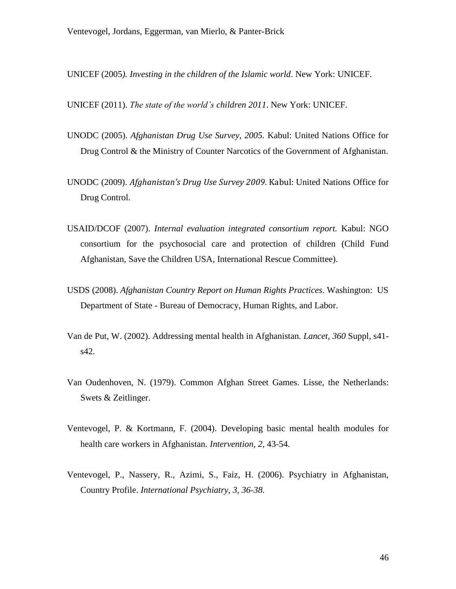UNICEF (2005*). Investing in the children of the Islamic world*. New York: UNICEF.

UNICEF (2011). *The state of the world's children 2011*. New York: UNICEF.

- UNODC (2005). *Afghanistan Drug Use Survey, 2005.* Kabul: United Nations Office for Drug Control & the Ministry of Counter Narcotics of the Government of Afghanistan.
- UNODC (2009). *Afghanistan's Drug Use Survey 2009*. Kabul: United Nations Office for Drug Control.
- USAID/DCOF (2007). *Internal evaluation integrated consortium report.* Kabul: NGO consortium for the psychosocial care and protection of children (Child Fund Afghanistan, Save the Children USA, International Rescue Committee).
- USDS (2008). *Afghanistan Country Report on Human Rights Practices*. Washington: US Department of State - Bureau of Democracy, Human Rights, and Labor.
- Van de Put, W. (2002). Addressing mental health in Afghanistan. *Lancet, 360* Suppl, s41 s42.
- Van Oudenhoven, N. (1979). Common Afghan Street Games. Lisse, the Netherlands: Swets & Zeitlinger.
- Ventevogel, P. & Kortmann, F. (2004). Developing basic mental health modules for health care workers in Afghanistan. *Intervention, 2*, 43-54.
- Ventevogel, P., Nassery, R., Azimi, S., Faiz, H. (2006). Psychiatry in Afghanistan, Country Profile. *International Psychiatry, 3, 36-38.*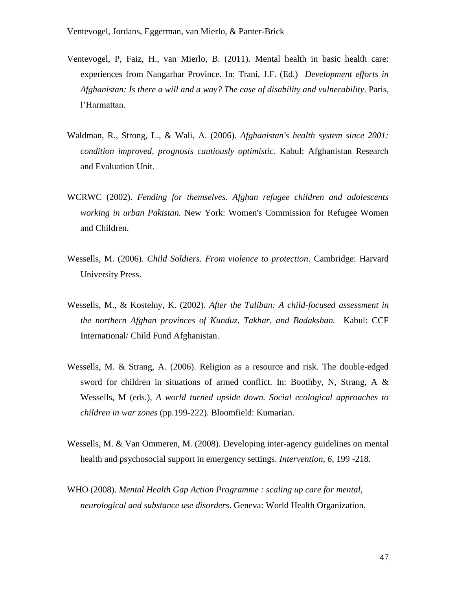- Ventevogel, P, Faiz, H., van Mierlo, B. (2011). Mental health in basic health care: experiences from Nangarhar Province. In: Trani, J.F. (Ed.) *Development efforts in Afghanistan: Is there a will and a way? The case of disability and vulnerability*. Paris, l'Harmattan.
- Waldman, R., Strong, L., & Wali, A. (2006). *Afghanistan's health system since 2001: condition improved, prognosis cautiously optimistic*. Kabul: Afghanistan Research and Evaluation Unit.
- WCRWC (2002). *Fending for themselves. Afghan refugee children and adolescents working in urban Pakistan.* New York: Women's Commission for Refugee Women and Children.
- Wessells, M. (2006). *Child Soldiers. From violence to protection*. Cambridge: Harvard University Press.
- Wessells, M., & Kostelny, K. (2002). *After the Taliban: A child-focused assessment in the northern Afghan provinces of Kunduz, Takhar, and Badakshan.* Kabul: CCF International/ Child Fund Afghanistan.
- Wessells, M. & Strang, A. (2006). Religion as a resource and risk. The double-edged sword for children in situations of armed conflict. In: Boothby, N, Strang, A  $\&$ Wessells, M (eds.), *A world turned upside down. Social ecological approaches to children in war zones* (pp.199-222). Bloomfield: Kumarian.
- Wessells, M. & Van Ommeren, M. (2008). Developing inter-agency guidelines on mental health and psychosocial support in emergency settings. *Intervention, 6,* 199 -218.
- WHO (2008). *Mental Health Gap Action Programme : scaling up care for mental, neurological and substance use disorders*. Geneva: World Health Organization.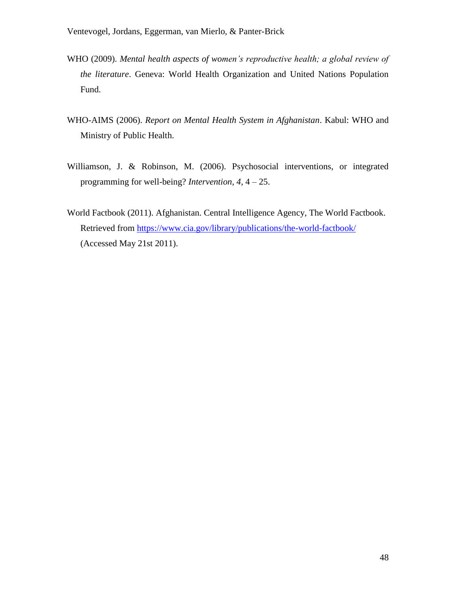- WHO (2009). *Mental health aspects of women's reproductive health; a global review of the literature*. Geneva: World Health Organization and United Nations Population Fund.
- WHO-AIMS (2006). *Report on Mental Health System in Afghanistan*. Kabul: WHO and Ministry of Public Health.
- Williamson, J. & Robinson, M. (2006). Psychosocial interventions, or integrated programming for well-being? *Intervention, 4,* 4 – 25.
- World Factbook (2011). Afghanistan. Central Intelligence Agency, The World Factbook. Retrieved from<https://www.cia.gov/library/publications/the-world-factbook/> (Accessed May 21st 2011).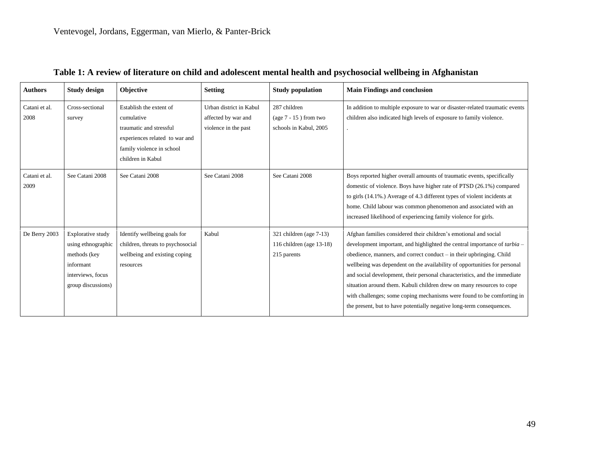| <b>Authors</b>        | <b>Study design</b>                                                                                                    | Objective                                                                                                                                            | <b>Setting</b>                                                         | <b>Study population</b>                                                  | <b>Main Findings and conclusion</b>                                                                                                                                                                                                                                                                                                                                                                                                                                                                                                                                                                                     |
|-----------------------|------------------------------------------------------------------------------------------------------------------------|------------------------------------------------------------------------------------------------------------------------------------------------------|------------------------------------------------------------------------|--------------------------------------------------------------------------|-------------------------------------------------------------------------------------------------------------------------------------------------------------------------------------------------------------------------------------------------------------------------------------------------------------------------------------------------------------------------------------------------------------------------------------------------------------------------------------------------------------------------------------------------------------------------------------------------------------------------|
| Catani et al.<br>2008 | Cross-sectional<br>survey                                                                                              | Establish the extent of<br>cumulative<br>traumatic and stressful<br>experiences related to war and<br>family violence in school<br>children in Kabul | Urban district in Kabul<br>affected by war and<br>violence in the past | 287 children<br>(age $7 - 15$ ) from two<br>schools in Kabul, 2005       | In addition to multiple exposure to war or disaster-related traumatic events<br>children also indicated high levels of exposure to family violence.                                                                                                                                                                                                                                                                                                                                                                                                                                                                     |
| Catani et al.<br>2009 | See Catani 2008                                                                                                        | See Catani 2008                                                                                                                                      | See Catani 2008                                                        | See Catani 2008                                                          | Boys reported higher overall amounts of traumatic events, specifically<br>domestic of violence. Boys have higher rate of PTSD (26.1%) compared<br>to girls (14.1%.) Average of 4.3 different types of violent incidents at<br>home. Child labour was common phenomenon and associated with an<br>increased likelihood of experiencing family violence for girls.                                                                                                                                                                                                                                                        |
| De Berry 2003         | <b>Explorative study</b><br>using ethnographic<br>methods (key<br>informant<br>interviews, focus<br>group discussions) | Identify wellbeing goals for<br>children, threats to psychosocial<br>wellbeing and existing coping<br>resources                                      | Kabul                                                                  | 321 children (age $7-13$ )<br>116 children (age $13-18$ )<br>215 parents | Afghan families considered their children's emotional and social<br>development important, and highlighted the central importance of <i>tarbia</i> –<br>$obedience$ , manners, and correct conduct $-$ in their upbringing. Child<br>wellbeing was dependent on the availability of opportunities for personal<br>and social development, their personal characteristics, and the immediate<br>situation around them. Kabuli children drew on many resources to cope<br>with challenges; some coping mechanisms were found to be comforting in<br>the present, but to have potentially negative long-term consequences. |

# **Table 1: A review of literature on child and adolescent mental health and psychosocial wellbeing in Afghanistan**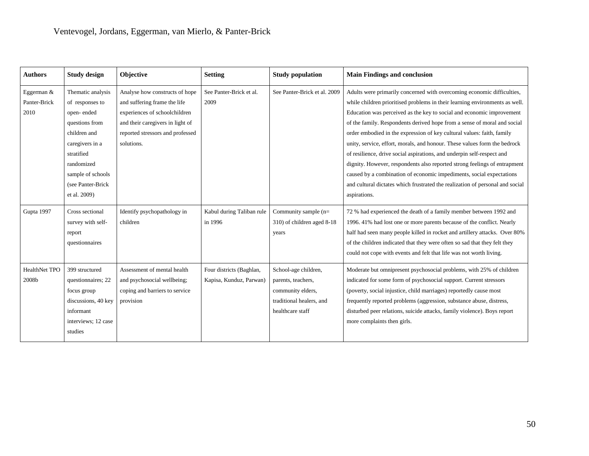| <b>Authors</b>       | <b>Study design</b> | Objective                        | <b>Setting</b>            | <b>Study population</b>      | <b>Main Findings and conclusion</b>                                           |
|----------------------|---------------------|----------------------------------|---------------------------|------------------------------|-------------------------------------------------------------------------------|
| Eggerman $&$         | Thematic analysis   | Analyse how constructs of hope   | See Panter-Brick et al.   | See Panter-Brick et al. 2009 | Adults were primarily concerned with overcoming economic difficulties,        |
| Panter-Brick         | of responses to     | and suffering frame the life     | 2009                      |                              | while children prioritised problems in their learning environments as well.   |
| 2010                 | open-ended          | experiences of schoolchildren    |                           |                              | Education was perceived as the key to social and economic improvement         |
|                      | questions from      | and their caregivers in light of |                           |                              | of the family. Respondents derived hope from a sense of moral and social      |
|                      | children and        | reported stressors and professed |                           |                              | order embodied in the expression of key cultural values: faith, family        |
|                      | caregivers in a     | solutions.                       |                           |                              | unity, service, effort, morals, and honour. These values form the bedrock     |
|                      | stratified          |                                  |                           |                              | of resilience, drive social aspirations, and underpin self-respect and        |
|                      | randomized          |                                  |                           |                              | dignity. However, respondents also reported strong feelings of entrapment     |
|                      | sample of schools   |                                  |                           |                              | caused by a combination of economic impediments, social expectations          |
|                      | (see Panter-Brick   |                                  |                           |                              | and cultural dictates which frustrated the realization of personal and social |
|                      | et al. 2009)        |                                  |                           |                              | aspirations.                                                                  |
| Gupta 1997           | Cross sectional     | Identify psychopathology in      | Kabul during Taliban rule | Community sample (n=         | 72 % had experienced the death of a family member between 1992 and            |
|                      | survey with self-   | children                         | in 1996                   | 310) of children aged 8-18   | 1996. 41% had lost one or more parents because of the conflict. Nearly        |
|                      | report              |                                  |                           | years                        | half had seen many people killed in rocket and artillery attacks. Over 80%    |
|                      | questionnaires      |                                  |                           |                              | of the children indicated that they were often so sad that they felt they     |
|                      |                     |                                  |                           |                              | could not cope with events and felt that life was not worth living.           |
| <b>HealthNet TPO</b> | 399 structured      | Assessment of mental health      | Four districts (Baghlan,  | School-age children,         | Moderate but omnipresent psychosocial problems, with 25% of children          |
| 2008b                | questionnaires; 22  | and psychosocial wellbeing;      | Kapisa, Kunduz, Parwan)   | parents, teachers,           | indicated for some form of psychosocial support. Current stressors            |
|                      | focus group         | coping and barriers to service   |                           | community elders,            | (poverty, social injustice, child marriages) reportedly cause most            |
|                      | discussions, 40 key | provision                        |                           | traditional healers, and     | frequently reported problems (aggression, substance abuse, distress,          |
|                      | informant           |                                  |                           | healthcare staff             | disturbed peer relations, suicide attacks, family violence). Boys report      |
|                      | interviews; 12 case |                                  |                           |                              | more complaints then girls.                                                   |
|                      | studies             |                                  |                           |                              |                                                                               |
|                      |                     |                                  |                           |                              |                                                                               |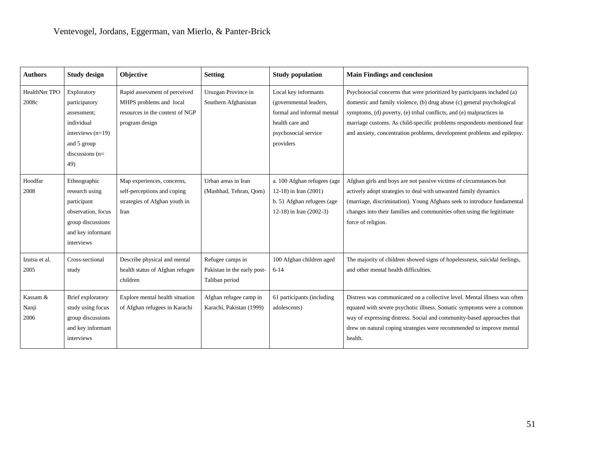| <b>Authors</b>                | <b>Study design</b>                                                                                                         | Objective                                                                                                     | <b>Setting</b>                                                    | <b>Study population</b>                                                                                                              | <b>Main Findings and conclusion</b>                                                                                                                                                                                                                                                                                                                                              |
|-------------------------------|-----------------------------------------------------------------------------------------------------------------------------|---------------------------------------------------------------------------------------------------------------|-------------------------------------------------------------------|--------------------------------------------------------------------------------------------------------------------------------------|----------------------------------------------------------------------------------------------------------------------------------------------------------------------------------------------------------------------------------------------------------------------------------------------------------------------------------------------------------------------------------|
| <b>HealthNet TPO</b><br>2008c | Exploratory<br>participatory<br>assessment;<br>individual<br>interviews $(n=19)$<br>and 5 group<br>discussions $(n=$<br>49) | Rapid assessment of perceived<br>MHPS problems and local<br>resources in the context of NGP<br>program design | Uruzgan Province in<br>Southern Afghanistan                       | Local key informants<br>(governmental leaders,<br>formal and informal mental<br>health care and<br>psychosocial service<br>providers | Psychosocial concerns that were prioritized by participants included (a)<br>domestic and family violence, (b) drug abuse (c) general psychological<br>symptoms, (d) poverty, (e) tribal conflicts, and (e) malpractices in<br>marriage customs. As child-specific problems respondents mentioned fear<br>and anxiety, concentration problems, development problems and epilepsy. |
| Hoodfar<br>2008               | Ethnographic<br>research using<br>participant<br>observation, focus<br>group discussions<br>and key informant<br>interviews | Map experiences, concerns,<br>self-perceptions and coping<br>strategies of Afghan youth in<br>Iran            | Urban areas in Iran<br>(Mashhad, Tehran, Qom)                     | a. 100 Afghan refugees (age<br>12-18) in Iran (2001)<br>b. 51 Afghan refugees (age<br>12-18) in Iran (2002-3)                        | Afghan girls and boys are not passive victims of circumstances but<br>actively adopt strategies to deal with unwanted family dynamics<br>(marriage, discrimination). Young Afghans seek to introduce fundamental<br>changes into their families and communities often using the legitimate<br>force of religion.                                                                 |
| Izutsu et al.<br>2005         | Cross-sectional<br>study                                                                                                    | Describe physical and mental<br>health status of Afghan refugee<br>children                                   | Refugee camps in<br>Pakistan in the early post-<br>Taliban period | 100 Afghan children aged<br>$6 - 14$                                                                                                 | The majority of children showed signs of hopelessness, suicidal feelings,<br>and other mental health difficulties.                                                                                                                                                                                                                                                               |
| Kassam &<br>Nanji<br>2006     | Brief exploratory<br>study using focus<br>group discussions<br>and key informant<br>interviews                              | Explore mental health situation<br>of Afghan refugees in Karachi                                              | Afghan refugee camp in<br>Karachi, Pakistan (1999)                | 61 participants (including<br>adolescents)                                                                                           | Distress was communicated on a collective level. Mental illness was often<br>equated with severe psychotic illness. Somatic symptoms were a common<br>way of expressing distress. Social and community-based approaches that<br>drew on natural coping strategies were recommended to improve mental<br>health.                                                                  |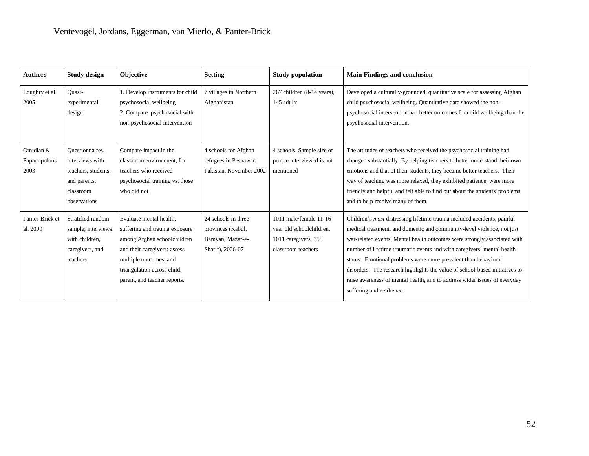| <b>Authors</b>                    | <b>Study design</b>                                                                                    | Objective                                                                                                                                                                                                        | <b>Setting</b>                                                                   | <b>Study population</b>                                                                          | <b>Main Findings and conclusion</b>                                                                                                                                                                                                                                                                                                                                                                                                                                                                                                                                       |
|-----------------------------------|--------------------------------------------------------------------------------------------------------|------------------------------------------------------------------------------------------------------------------------------------------------------------------------------------------------------------------|----------------------------------------------------------------------------------|--------------------------------------------------------------------------------------------------|---------------------------------------------------------------------------------------------------------------------------------------------------------------------------------------------------------------------------------------------------------------------------------------------------------------------------------------------------------------------------------------------------------------------------------------------------------------------------------------------------------------------------------------------------------------------------|
| Loughry et al.<br>2005            | Ouasi-<br>experimental<br>design                                                                       | 1. Develop instruments for child<br>psychosocial wellbeing<br>2. Compare psychosocial with<br>non-psychosocial intervention                                                                                      | 7 villages in Northern<br>Afghanistan                                            | $267$ children $(8-14$ years),<br>145 adults                                                     | Developed a culturally-grounded, quantitative scale for assessing Afghan<br>child psychosocial wellbeing. Quantitative data showed the non-<br>psychosocial intervention had better outcomes for child wellbeing than the<br>psychosocial intervention.                                                                                                                                                                                                                                                                                                                   |
| Omidian &<br>Papadopolous<br>2003 | Questionnaires,<br>interviews with<br>teachers, students,<br>and parents,<br>classroom<br>observations | Compare impact in the<br>classroom environment, for<br>teachers who received<br>psychosocial training vs. those<br>who did not                                                                                   | 4 schools for Afghan<br>refugees in Peshawar,<br>Pakistan, November 2002         | 4 schools. Sample size of<br>people interviewed is not<br>mentioned                              | The attitudes of teachers who received the psychosocial training had<br>changed substantially. By helping teachers to better understand their own<br>emotions and that of their students, they became better teachers. Their<br>way of teaching was more relaxed, they exhibited patience, were more<br>friendly and helpful and felt able to find out about the students' problems<br>and to help resolve many of them.                                                                                                                                                  |
| Panter-Brick et<br>al. 2009       | Stratified random<br>sample; interviews<br>with children,<br>caregivers, and<br>teachers               | Evaluate mental health,<br>suffering and trauma exposure<br>among Afghan schoolchildren<br>and their caregivers; assess<br>multiple outcomes, and<br>triangulation across child,<br>parent, and teacher reports. | 24 schools in three<br>provinces (Kabul,<br>Bamyan, Mazar-e-<br>Sharif), 2006-07 | 1011 male/female 11-16<br>year old schoolchildren,<br>1011 caregivers, 358<br>classroom teachers | Children's <i>most</i> distressing lifetime trauma included accidents, painful<br>medical treatment, and domestic and community-level violence, not just<br>war-related events. Mental health outcomes were strongly associated with<br>number of lifetime traumatic events and with caregivers' mental health<br>status. Emotional problems were more prevalent than behavioral<br>disorders. The research highlights the value of school-based initiatives to<br>raise awareness of mental health, and to address wider issues of everyday<br>suffering and resilience. |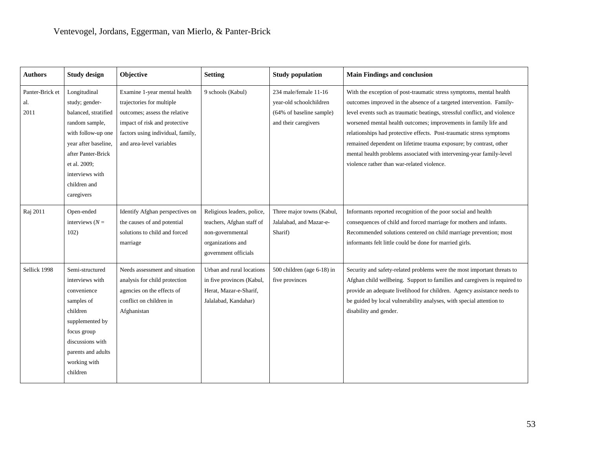| <b>Authors</b>                 | <b>Study design</b>                                                                                                                                                                                           | Objective                                                                                                                                                                                    | <b>Setting</b>                                                                                                           | <b>Study population</b>                                                                              | <b>Main Findings and conclusion</b>                                                                                                                                                                                                                                                                                                                                                                                                                                                                                                                              |
|--------------------------------|---------------------------------------------------------------------------------------------------------------------------------------------------------------------------------------------------------------|----------------------------------------------------------------------------------------------------------------------------------------------------------------------------------------------|--------------------------------------------------------------------------------------------------------------------------|------------------------------------------------------------------------------------------------------|------------------------------------------------------------------------------------------------------------------------------------------------------------------------------------------------------------------------------------------------------------------------------------------------------------------------------------------------------------------------------------------------------------------------------------------------------------------------------------------------------------------------------------------------------------------|
| Panter-Brick et<br>al.<br>2011 | Longitudinal<br>study; gender-<br>balanced, stratified<br>random sample,<br>with follow-up one<br>year after baseline,<br>after Panter-Brick<br>et al. 2009;<br>interviews with<br>children and<br>caregivers | Examine 1-year mental health<br>trajectories for multiple<br>outcomes; assess the relative<br>impact of risk and protective<br>factors using individual, family,<br>and area-level variables | 9 schools (Kabul)                                                                                                        | 234 male/female 11-16<br>year-old schoolchildren<br>(64% of baseline sample)<br>and their caregivers | With the exception of post-traumatic stress symptoms, mental health<br>outcomes improved in the absence of a targeted intervention. Family-<br>level events such as traumatic beatings, stressful conflict, and violence<br>worsened mental health outcomes; improvements in family life and<br>relationships had protective effects. Post-traumatic stress symptoms<br>remained dependent on lifetime trauma exposure; by contrast, other<br>mental health problems associated with intervening-year family-level<br>violence rather than war-related violence. |
| Raj 2011                       | Open-ended<br>interviews $(N =$<br>102)                                                                                                                                                                       | Identify Afghan perspectives on<br>the causes of and potential<br>solutions to child and forced<br>marriage                                                                                  | Religious leaders, police,<br>teachers, Afghan staff of<br>non-governmental<br>organizations and<br>government officials | Three major towns (Kabul,<br>Jalalabad, and Mazar-e-<br>Sharif)                                      | Informants reported recognition of the poor social and health<br>consequences of child and forced marriage for mothers and infants.<br>Recommended solutions centered on child marriage prevention; most<br>informants felt little could be done for married girls.                                                                                                                                                                                                                                                                                              |
| Sellick 1998                   | Semi-structured<br>interviews with<br>convenience<br>samples of<br>children<br>supplemented by<br>focus group<br>discussions with<br>parents and adults<br>working with<br>children                           | Needs assessment and situation<br>analysis for child protection<br>agencies on the effects of<br>conflict on children in<br>Afghanistan                                                      | Urban and rural locations<br>in five provinces (Kabul,<br>Herat, Mazar-e-Sharif,<br>Jalalabad, Kandahar)                 | 500 children (age 6-18) in<br>five provinces                                                         | Security and safety-related problems were the most important threats to<br>Afghan child wellbeing. Support to families and caregivers is required to<br>provide an adequate livelihood for children. Agency assistance needs to<br>be guided by local vulnerability analyses, with special attention to<br>disability and gender.                                                                                                                                                                                                                                |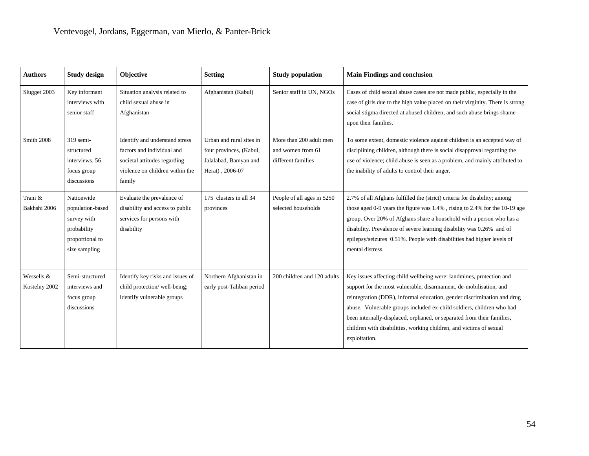| <b>Authors</b>              | <b>Study design</b>                                                                              | Objective                                                                                                                                 | <b>Setting</b>                                                                                  | <b>Study population</b>                                            | <b>Main Findings and conclusion</b>                                                                                                                                                                                                                                                                                                                                                                                                                              |
|-----------------------------|--------------------------------------------------------------------------------------------------|-------------------------------------------------------------------------------------------------------------------------------------------|-------------------------------------------------------------------------------------------------|--------------------------------------------------------------------|------------------------------------------------------------------------------------------------------------------------------------------------------------------------------------------------------------------------------------------------------------------------------------------------------------------------------------------------------------------------------------------------------------------------------------------------------------------|
| Slugget 2003                | Key informant<br>interviews with<br>senior staff                                                 | Situation analysis related to<br>child sexual abuse in<br>Afghanistan                                                                     | Afghanistan (Kabul)                                                                             | Senior staff in UN, NGOs                                           | Cases of child sexual abuse cases are not made public, especially in the<br>case of girls due to the high value placed on their virginity. There is strong<br>social stigma directed at abused children, and such abuse brings shame<br>upon their families.                                                                                                                                                                                                     |
| Smith 2008                  | 319 semi-<br>structured<br>interviews, 56<br>focus group<br>discussions                          | Identify and understand stress<br>factors and individual and<br>societal attitudes regarding<br>violence on children within the<br>family | Urban and rural sites in<br>four provinces, (Kabul,<br>Jalalabad, Bamyan and<br>Herat), 2006-07 | More than 200 adult men<br>and women from 61<br>different families | To some extent, domestic violence against children is an accepted way of<br>disciplining children, although there is social disapproval regarding the<br>use of violence; child abuse is seen as a problem, and mainly attributed to<br>the inability of adults to control their anger.                                                                                                                                                                          |
| Trani &<br>Bakhshi 2006     | Nationwide<br>population-based<br>survey with<br>probability<br>proportional to<br>size sampling | Evaluate the prevalence of<br>disability and access to public<br>services for persons with<br>disability                                  | 175 clusters in all 34<br>provinces                                                             | People of all ages in 5250<br>selected households                  | 2.7% of all Afghans fulfilled the (strict) criteria for disability; among<br>those aged 0-9 years the figure was 1.4%, rising to 2.4% for the 10-19 age<br>group. Over 20% of Afghans share a household with a person who has a<br>disability. Prevalence of severe learning disability was 0.26% and of<br>epilepsy/seizures 0.51%. People with disabilities had higher levels of<br>mental distress.                                                           |
| Wessells &<br>Kostelny 2002 | Semi-structured<br>interviews and<br>focus group<br>discussions                                  | Identify key risks and issues of<br>child protection/well-being;<br>identify vulnerable groups                                            | Northern Afghanistan in<br>early post-Taliban period                                            | 200 children and 120 adults                                        | Key issues affecting child wellbeing were: landmines, protection and<br>support for the most vulnerable, disarmament, de-mobilisation, and<br>reintegration (DDR), informal education, gender discrimination and drug<br>abuse. Vulnerable groups included ex-child soldiers, children who had<br>been internally-displaced, orphaned, or separated from their families,<br>children with disabilities, working children, and victims of sexual<br>exploitation. |